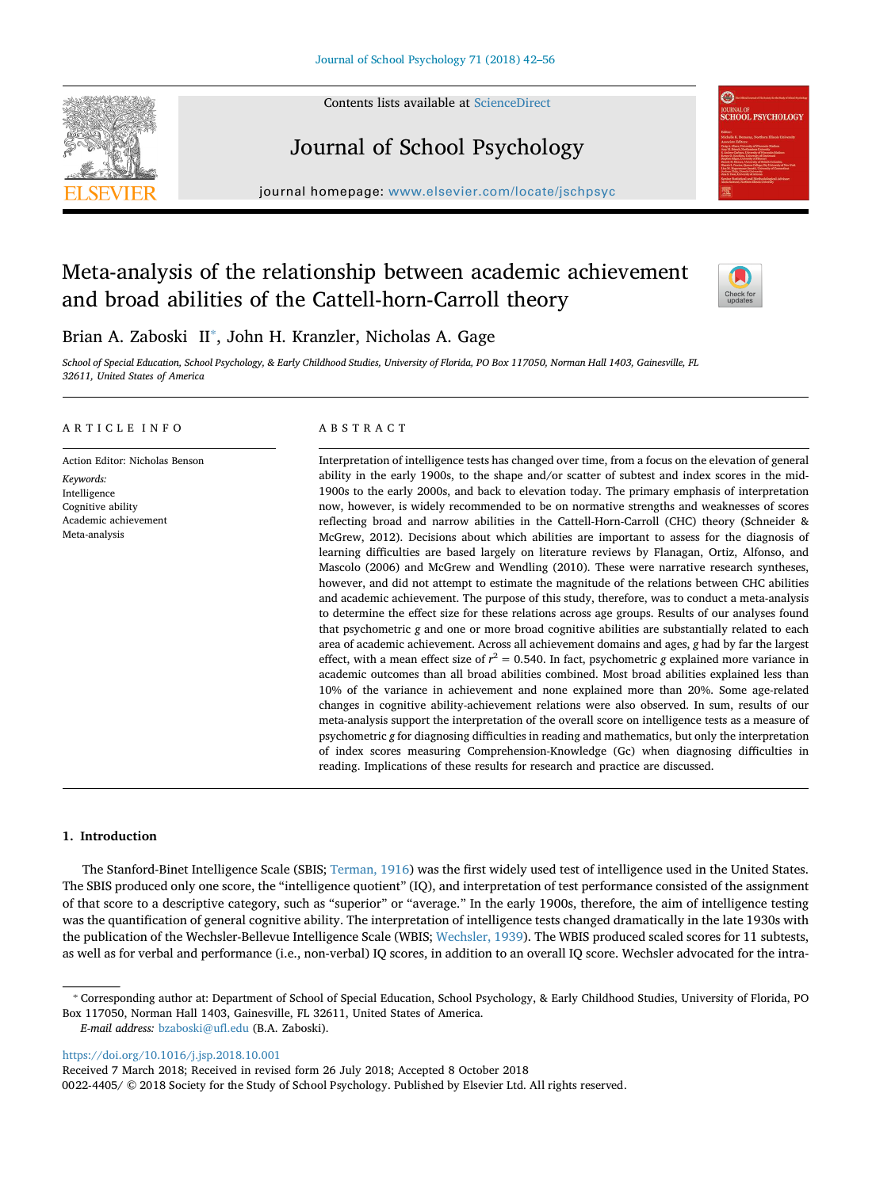Contents lists available at [ScienceDirect](http://www.sciencedirect.com/science/journal/00224405)





# Journal of School Psychology

journal homepage: [www.elsevier.com/locate/jschpsyc](https://www.elsevier.com/locate/jschpsyc)

# Meta-analysis of the relationship between academic achievement and broad abilities of the Cattell-horn-Carroll theory



Brian A. Zaboski II<sup>\*</sup>, John H. Kranzler, Nicholas A. Gage

*School of Special Education, School Psychology, & Early Childhood Studies, University of Florida, PO Box 117050, Norman Hall 1403, Gainesville, FL 32611, United States of America*

# ARTICLE INFO

Action Editor: Nicholas Benson

*Keywords:* Intelligence Cognitive ability Academic achievement Meta-analysis

# ABSTRACT

Interpretation of intelligence tests has changed over time, from a focus on the elevation of general ability in the early 1900s, to the shape and/or scatter of subtest and index scores in the mid-1900s to the early 2000s, and back to elevation today. The primary emphasis of interpretation now, however, is widely recommended to be on normative strengths and weaknesses of scores reflecting broad and narrow abilities in the Cattell-Horn-Carroll (CHC) theory (Schneider & McGrew, 2012). Decisions about which abilities are important to assess for the diagnosis of learning difficulties are based largely on literature reviews by Flanagan, Ortiz, Alfonso, and Mascolo (2006) and McGrew and Wendling (2010). These were narrative research syntheses, however, and did not attempt to estimate the magnitude of the relations between CHC abilities and academic achievement. The purpose of this study, therefore, was to conduct a meta-analysis to determine the effect size for these relations across age groups. Results of our analyses found that psychometric *g* and one or more broad cognitive abilities are substantially related to each area of academic achievement. Across all achievement domains and ages, *g* had by far the largest effect, with a mean effect size of  $r^2 = 0.540$ . In fact, psychometric *g* explained more variance in academic outcomes than all broad abilities combined. Most broad abilities explained less than 10% of the variance in achievement and none explained more than 20%. Some age-related changes in cognitive ability-achievement relations were also observed. In sum, results of our meta-analysis support the interpretation of the overall score on intelligence tests as a measure of psychometric *g* for diagnosing difficulties in reading and mathematics, but only the interpretation of index scores measuring Comprehension-Knowledge (Gc) when diagnosing difficulties in reading. Implications of these results for research and practice are discussed.

## **1. Introduction**

The Stanford-Binet Intelligence Scale (SBIS; [Terman, 1916\)](#page-14-0) was the first widely used test of intelligence used in the United States. The SBIS produced only one score, the "intelligence quotient" (IQ), and interpretation of test performance consisted of the assignment of that score to a descriptive category, such as "superior" or "average." In the early 1900s, therefore, the aim of intelligence testing was the quantification of general cognitive ability. The interpretation of intelligence tests changed dramatically in the late 1930s with the publication of the Wechsler-Bellevue Intelligence Scale (WBIS; [Wechsler, 1939\)](#page-14-1). The WBIS produced scaled scores for 11 subtests, as well as for verbal and performance (i.e., non-verbal) IQ scores, in addition to an overall IQ score. Wechsler advocated for the intra-

<https://doi.org/10.1016/j.jsp.2018.10.001>

Received 7 March 2018; Received in revised form 26 July 2018; Accepted 8 October 2018

0022-4405/ © 2018 Society for the Study of School Psychology. Published by Elsevier Ltd. All rights reserved.

<span id="page-0-0"></span><sup>⁎</sup> Corresponding author at: Department of School of Special Education, School Psychology, & Early Childhood Studies, University of Florida, PO Box 117050, Norman Hall 1403, Gainesville, FL 32611, United States of America.

*E-mail address:* [bzaboski@ufl.edu](mailto:bzaboski@ufl.edu) (B.A. Zaboski).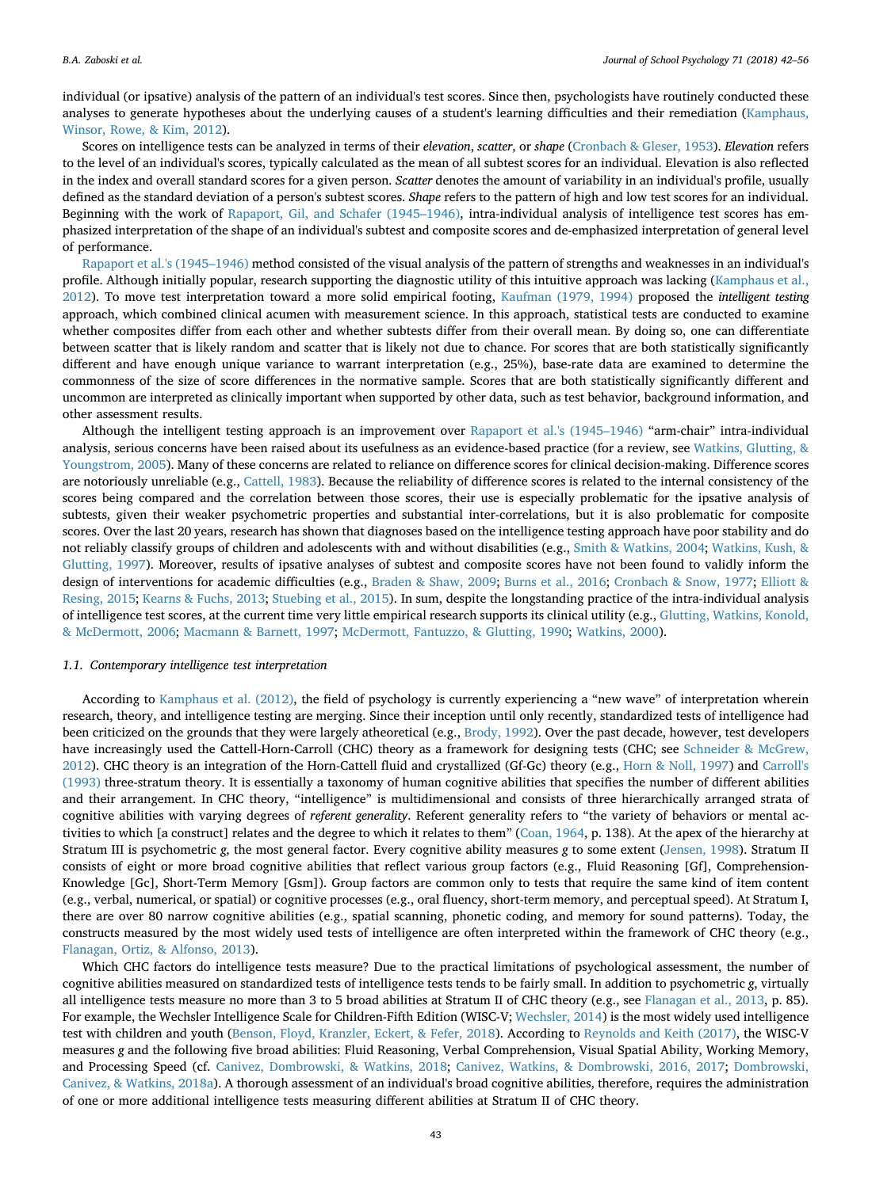individual (or ipsative) analysis of the pattern of an individual's test scores. Since then, psychologists have routinely conducted these analyses to generate hypotheses about the underlying causes of a student's learning difficulties and their remediation [\(Kamphaus,](#page-13-0) [Winsor, Rowe, & Kim, 2012\)](#page-13-0).

Scores on intelligence tests can be analyzed in terms of their *elevation*, *scatter*, or *shape* ([Cronbach & Gleser, 1953](#page-12-0)). *Elevation* refers to the level of an individual's scores, typically calculated as the mean of all subtest scores for an individual. Elevation is also reflected in the index and overall standard scores for a given person. *Scatter* denotes the amount of variability in an individual's profile, usually defined as the standard deviation of a person's subtest scores. *Shape* refers to the pattern of high and low test scores for an individual. Beginning with the work of [Rapaport, Gil, and Schafer \(1945–1946\)](#page-14-2), intra-individual analysis of intelligence test scores has emphasized interpretation of the shape of an individual's subtest and composite scores and de-emphasized interpretation of general level of performance.

[Rapaport et al.'s \(1945–1946\)](#page-14-2) method consisted of the visual analysis of the pattern of strengths and weaknesses in an individual's profile. Although initially popular, research supporting the diagnostic utility of this intuitive approach was lacking ([Kamphaus et al.,](#page-13-0) [2012\)](#page-13-0). To move test interpretation toward a more solid empirical footing, [Kaufman \(1979, 1994\)](#page-13-1) proposed the *intelligent testing* approach, which combined clinical acumen with measurement science. In this approach, statistical tests are conducted to examine whether composites differ from each other and whether subtests differ from their overall mean. By doing so, one can differentiate between scatter that is likely random and scatter that is likely not due to chance. For scores that are both statistically significantly different and have enough unique variance to warrant interpretation (e.g., 25%), base-rate data are examined to determine the commonness of the size of score differences in the normative sample. Scores that are both statistically significantly different and uncommon are interpreted as clinically important when supported by other data, such as test behavior, background information, and other assessment results.

Although the intelligent testing approach is an improvement over [Rapaport et al.'s \(1945–1946\)](#page-14-2) "arm-chair" intra-individual analysis, serious concerns have been raised about its usefulness as an evidence-based practice (for a review, see [Watkins, Glutting, &](#page-14-3) [Youngstrom, 2005\)](#page-14-3). Many of these concerns are related to reliance on difference scores for clinical decision-making. Difference scores are notoriously unreliable (e.g., [Cattell, 1983\)](#page-12-1). Because the reliability of difference scores is related to the internal consistency of the scores being compared and the correlation between those scores, their use is especially problematic for the ipsative analysis of subtests, given their weaker psychometric properties and substantial inter-correlations, but it is also problematic for composite scores. Over the last 20 years, research has shown that diagnoses based on the intelligence testing approach have poor stability and do not reliably classify groups of children and adolescents with and without disabilities (e.g., [Smith & Watkins, 2004](#page-14-4); [Watkins, Kush, &](#page-14-5) [Glutting, 1997](#page-14-5)). Moreover, results of ipsative analyses of subtest and composite scores have not been found to validly inform the design of interventions for academic difficulties (e.g., [Braden & Shaw, 2009](#page-12-2); [Burns et al., 2016;](#page-12-3) [Cronbach & Snow, 1977](#page-12-4); [Elliott &](#page-12-5) [Resing, 2015;](#page-12-5) [Kearns & Fuchs, 2013;](#page-13-2) [Stuebing et al., 2015\)](#page-14-6). In sum, despite the longstanding practice of the intra-individual analysis of intelligence test scores, at the current time very little empirical research supports its clinical utility (e.g., [Glutting, Watkins, Konold,](#page-13-3) [& McDermott, 2006;](#page-13-3) [Macmann & Barnett, 1997;](#page-13-4) [McDermott, Fantuzzo, & Glutting, 1990](#page-13-5); [Watkins, 2000](#page-14-7)).

## *1.1. Contemporary intelligence test interpretation*

According to [Kamphaus et al. \(2012\)](#page-13-0), the field of psychology is currently experiencing a "new wave" of interpretation wherein research, theory, and intelligence testing are merging. Since their inception until only recently, standardized tests of intelligence had been criticized on the grounds that they were largely atheoretical (e.g., [Brody, 1992](#page-12-6)). Over the past decade, however, test developers have increasingly used the Cattell-Horn-Carroll (CHC) theory as a framework for designing tests (CHC; see [Schneider & McGrew,](#page-14-8) [2012\)](#page-14-8). CHC theory is an integration of the Horn-Cattell fluid and crystallized (Gf-Gc) theory (e.g., [Horn & Noll, 1997](#page-13-6)) and [Carroll's](#page-12-7) [\(1993\)](#page-12-7) three-stratum theory. It is essentially a taxonomy of human cognitive abilities that specifies the number of different abilities and their arrangement. In CHC theory, "intelligence" is multidimensional and consists of three hierarchically arranged strata of cognitive abilities with varying degrees of *referent generality*. Referent generality refers to "the variety of behaviors or mental activities to which [a construct] relates and the degree to which it relates to them" ([Coan, 1964,](#page-12-8) p. 138). At the apex of the hierarchy at Stratum III is psychometric *g*, the most general factor. Every cognitive ability measures *g* to some extent ([Jensen, 1998\)](#page-13-7). Stratum II consists of eight or more broad cognitive abilities that reflect various group factors (e.g., Fluid Reasoning [Gf], Comprehension-Knowledge [Gc], Short-Term Memory [Gsm]). Group factors are common only to tests that require the same kind of item content (e.g., verbal, numerical, or spatial) or cognitive processes (e.g., oral fluency, short-term memory, and perceptual speed). At Stratum I, there are over 80 narrow cognitive abilities (e.g., spatial scanning, phonetic coding, and memory for sound patterns). Today, the constructs measured by the most widely used tests of intelligence are often interpreted within the framework of CHC theory (e.g., [Flanagan, Ortiz, & Alfonso, 2013](#page-13-8)).

Which CHC factors do intelligence tests measure? Due to the practical limitations of psychological assessment, the number of cognitive abilities measured on standardized tests of intelligence tests tends to be fairly small. In addition to psychometric *g*, virtually all intelligence tests measure no more than 3 to 5 broad abilities at Stratum II of CHC theory (e.g., see [Flanagan et al., 2013](#page-13-8), p. 85). For example, the Wechsler Intelligence Scale for Children-Fifth Edition (WISC-V; [Wechsler, 2014](#page-14-9)) is the most widely used intelligence test with children and youth [\(Benson, Floyd, Kranzler, Eckert, & Fefer, 2018](#page-12-9)). According to [Reynolds and Keith \(2017\),](#page-14-10) the WISC-V measures *g* and the following five broad abilities: Fluid Reasoning, Verbal Comprehension, Visual Spatial Ability, Working Memory, and Processing Speed (cf. [Canivez, Dombrowski, & Watkins, 2018](#page-12-10); [Canivez, Watkins, & Dombrowski, 2016, 2017;](#page-12-11) [Dombrowski,](#page-12-12) [Canivez, & Watkins, 2018a](#page-12-12)). A thorough assessment of an individual's broad cognitive abilities, therefore, requires the administration of one or more additional intelligence tests measuring different abilities at Stratum II of CHC theory.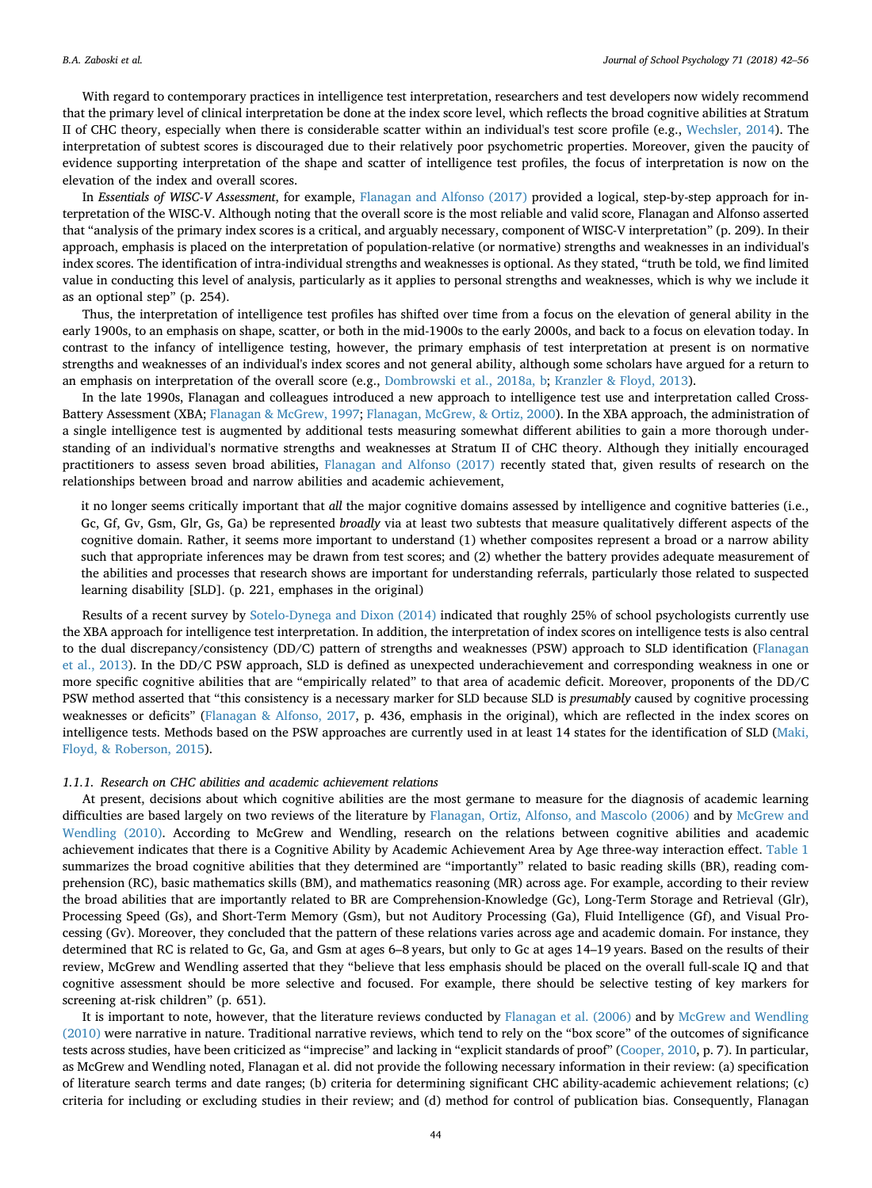With regard to contemporary practices in intelligence test interpretation, researchers and test developers now widely recommend that the primary level of clinical interpretation be done at the index score level, which reflects the broad cognitive abilities at Stratum II of CHC theory, especially when there is considerable scatter within an individual's test score profile (e.g., [Wechsler, 2014\)](#page-14-9). The interpretation of subtest scores is discouraged due to their relatively poor psychometric properties. Moreover, given the paucity of evidence supporting interpretation of the shape and scatter of intelligence test profiles, the focus of interpretation is now on the elevation of the index and overall scores.

In *Essentials of WISC-V Assessment*, for example, [Flanagan and Alfonso \(2017\)](#page-13-9) provided a logical, step-by-step approach for interpretation of the WISC-V. Although noting that the overall score is the most reliable and valid score, Flanagan and Alfonso asserted that "analysis of the primary index scores is a critical, and arguably necessary, component of WISC-V interpretation" (p. 209). In their approach, emphasis is placed on the interpretation of population-relative (or normative) strengths and weaknesses in an individual's index scores. The identification of intra-individual strengths and weaknesses is optional. As they stated, "truth be told, we find limited value in conducting this level of analysis, particularly as it applies to personal strengths and weaknesses, which is why we include it as an optional step" (p. 254).

Thus, the interpretation of intelligence test profiles has shifted over time from a focus on the elevation of general ability in the early 1900s, to an emphasis on shape, scatter, or both in the mid-1900s to the early 2000s, and back to a focus on elevation today. In contrast to the infancy of intelligence testing, however, the primary emphasis of test interpretation at present is on normative strengths and weaknesses of an individual's index scores and not general ability, although some scholars have argued for a return to an emphasis on interpretation of the overall score (e.g., [Dombrowski et al., 2018a, b;](#page-12-12) [Kranzler & Floyd, 2013\)](#page-13-10).

In the late 1990s, Flanagan and colleagues introduced a new approach to intelligence test use and interpretation called Cross-Battery Assessment (XBA; [Flanagan & McGrew, 1997;](#page-13-11) [Flanagan, McGrew, & Ortiz, 2000\)](#page-13-12). In the XBA approach, the administration of a single intelligence test is augmented by additional tests measuring somewhat different abilities to gain a more thorough understanding of an individual's normative strengths and weaknesses at Stratum II of CHC theory. Although they initially encouraged practitioners to assess seven broad abilities, [Flanagan and Alfonso \(2017\)](#page-13-9) recently stated that, given results of research on the relationships between broad and narrow abilities and academic achievement,

it no longer seems critically important that *all* the major cognitive domains assessed by intelligence and cognitive batteries (i.e., Gc, Gf, Gv, Gsm, Glr, Gs, Ga) be represented *broadly* via at least two subtests that measure qualitatively different aspects of the cognitive domain. Rather, it seems more important to understand (1) whether composites represent a broad or a narrow ability such that appropriate inferences may be drawn from test scores; and (2) whether the battery provides adequate measurement of the abilities and processes that research shows are important for understanding referrals, particularly those related to suspected learning disability [SLD]. (p. 221, emphases in the original)

Results of a recent survey by [Sotelo-Dynega and Dixon \(2014\)](#page-14-11) indicated that roughly 25% of school psychologists currently use the XBA approach for intelligence test interpretation. In addition, the interpretation of index scores on intelligence tests is also central to the dual discrepancy/consistency (DD/C) pattern of strengths and weaknesses (PSW) approach to SLD identification [\(Flanagan](#page-13-8) [et al., 2013](#page-13-8)). In the DD/C PSW approach, SLD is defined as unexpected underachievement and corresponding weakness in one or more specific cognitive abilities that are "empirically related" to that area of academic deficit. Moreover, proponents of the DD/C PSW method asserted that "this consistency is a necessary marker for SLD because SLD is *presumably* caused by cognitive processing weaknesses or deficits" [\(Flanagan & Alfonso, 2017](#page-13-9), p. 436, emphasis in the original), which are reflected in the index scores on intelligence tests. Methods based on the PSW approaches are currently used in at least 14 states for the identification of SLD [\(Maki,](#page-13-13) [Floyd, & Roberson, 2015\)](#page-13-13).

#### *1.1.1. Research on CHC abilities and academic achievement relations*

At present, decisions about which cognitive abilities are the most germane to measure for the diagnosis of academic learning difficulties are based largely on two reviews of the literature by [Flanagan, Ortiz, Alfonso, and Mascolo \(2006\)](#page-13-14) and by [McGrew and](#page-13-15) [Wendling \(2010\)](#page-13-15). According to McGrew and Wendling, research on the relations between cognitive abilities and academic achievement indicates that there is a Cognitive Ability by Academic Achievement Area by Age three-way interaction effect. [Table 1](#page-3-0) summarizes the broad cognitive abilities that they determined are "importantly" related to basic reading skills (BR), reading comprehension (RC), basic mathematics skills (BM), and mathematics reasoning (MR) across age. For example, according to their review the broad abilities that are importantly related to BR are Comprehension-Knowledge (Gc), Long-Term Storage and Retrieval (Glr), Processing Speed (Gs), and Short-Term Memory (Gsm), but not Auditory Processing (Ga), Fluid Intelligence (Gf), and Visual Processing (Gv). Moreover, they concluded that the pattern of these relations varies across age and academic domain. For instance, they determined that RC is related to Gc, Ga, and Gsm at ages 6–8 years, but only to Gc at ages 14–19 years. Based on the results of their review, McGrew and Wendling asserted that they "believe that less emphasis should be placed on the overall full-scale IQ and that cognitive assessment should be more selective and focused. For example, there should be selective testing of key markers for screening at-risk children" (p. 651).

It is important to note, however, that the literature reviews conducted by [Flanagan et al. \(2006\)](#page-13-14) and by [McGrew and Wendling](#page-13-15) [\(2010\)](#page-13-15) were narrative in nature. Traditional narrative reviews, which tend to rely on the "box score" of the outcomes of significance tests across studies, have been criticized as "imprecise" and lacking in "explicit standards of proof" ([Cooper, 2010,](#page-12-13) p. 7). In particular, as McGrew and Wendling noted, Flanagan et al. did not provide the following necessary information in their review: (a) specification of literature search terms and date ranges; (b) criteria for determining significant CHC ability-academic achievement relations; (c) criteria for including or excluding studies in their review; and (d) method for control of publication bias. Consequently, Flanagan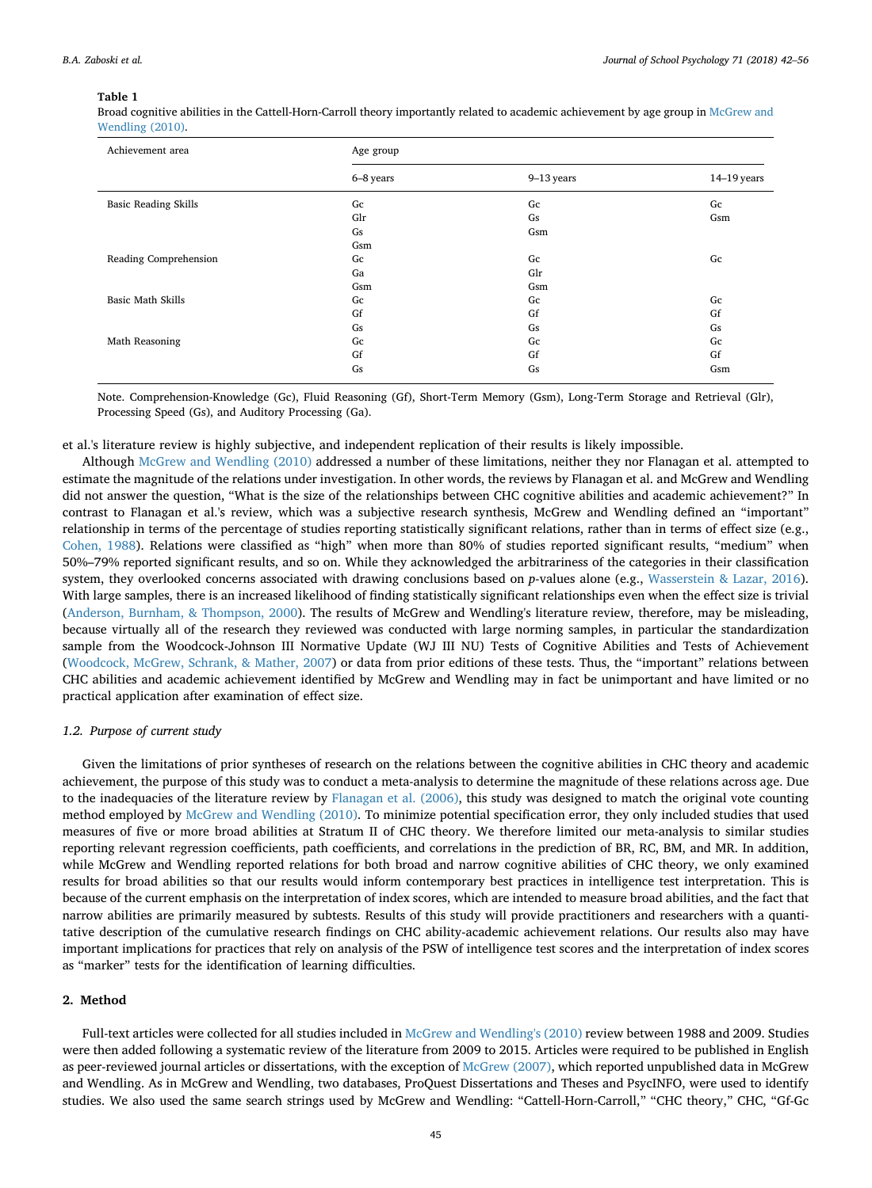<span id="page-3-0"></span>Broad cognitive abilities in the Cattell-Horn-Carroll theory importantly related to academic achievement by age group in [McGrew and](#page-13-15) [Wendling \(2010\)](#page-13-15).

| Achievement area            | Age group |              |               |  |
|-----------------------------|-----------|--------------|---------------|--|
|                             | 6-8 years | $9-13$ years | $14-19$ years |  |
| <b>Basic Reading Skills</b> | Gc        | Gc           | Gc            |  |
|                             | Glr       | Gs           | Gsm           |  |
|                             | Gs        | Gsm          |               |  |
|                             | Gsm       |              |               |  |
| Reading Comprehension       | Gc        | Gc           | Gc            |  |
|                             | Ga        | Glr          |               |  |
|                             | Gsm       | Gsm          |               |  |
| <b>Basic Math Skills</b>    | Gc        | Gc           | Gc            |  |
|                             | Gf        | Gf           | Gf            |  |
|                             | Gs        | Gs           | Gs            |  |
| Math Reasoning              | Gc        | Gc           | Gc            |  |
|                             | Gf        | Gf           | Gf            |  |
|                             | Gs        | Gs           | Gsm           |  |

Note. Comprehension-Knowledge (Gc), Fluid Reasoning (Gf), Short-Term Memory (Gsm), Long-Term Storage and Retrieval (Glr), Processing Speed (Gs), and Auditory Processing (Ga).

## et al.'s literature review is highly subjective, and independent replication of their results is likely impossible.

Although [McGrew and Wendling \(2010\)](#page-13-15) addressed a number of these limitations, neither they nor Flanagan et al. attempted to estimate the magnitude of the relations under investigation. In other words, the reviews by Flanagan et al. and McGrew and Wendling did not answer the question, "What is the size of the relationships between CHC cognitive abilities and academic achievement?" In contrast to Flanagan et al.'s review, which was a subjective research synthesis, McGrew and Wendling defined an "important" relationship in terms of the percentage of studies reporting statistically significant relations, rather than in terms of effect size (e.g., [Cohen, 1988\)](#page-12-14). Relations were classified as "high" when more than 80% of studies reported significant results, "medium" when 50%–79% reported significant results, and so on. While they acknowledged the arbitrariness of the categories in their classification system, they overlooked concerns associated with drawing conclusions based on *p*-values alone (e.g., [Wasserstein & Lazar, 2016](#page-14-12)). With large samples, there is an increased likelihood of finding statistically significant relationships even when the effect size is trivial [\(Anderson, Burnham, & Thompson, 2000\)](#page-12-15). The results of McGrew and Wendling's literature review, therefore, may be misleading, because virtually all of the research they reviewed was conducted with large norming samples, in particular the standardization sample from the Woodcock-Johnson III Normative Update (WJ III NU) Tests of Cognitive Abilities and Tests of Achievement [\(Woodcock, McGrew, Schrank, & Mather, 2007](#page-14-13)) or data from prior editions of these tests. Thus, the "important" relations between CHC abilities and academic achievement identified by McGrew and Wendling may in fact be unimportant and have limited or no practical application after examination of effect size.

## *1.2. Purpose of current study*

Given the limitations of prior syntheses of research on the relations between the cognitive abilities in CHC theory and academic achievement, the purpose of this study was to conduct a meta-analysis to determine the magnitude of these relations across age. Due to the inadequacies of the literature review by [Flanagan et al. \(2006\)](#page-13-14), this study was designed to match the original vote counting method employed by [McGrew and Wendling \(2010\)](#page-13-15). To minimize potential specification error, they only included studies that used measures of five or more broad abilities at Stratum II of CHC theory. We therefore limited our meta-analysis to similar studies reporting relevant regression coefficients, path coefficients, and correlations in the prediction of BR, RC, BM, and MR. In addition, while McGrew and Wendling reported relations for both broad and narrow cognitive abilities of CHC theory, we only examined results for broad abilities so that our results would inform contemporary best practices in intelligence test interpretation. This is because of the current emphasis on the interpretation of index scores, which are intended to measure broad abilities, and the fact that narrow abilities are primarily measured by subtests. Results of this study will provide practitioners and researchers with a quantitative description of the cumulative research findings on CHC ability-academic achievement relations. Our results also may have important implications for practices that rely on analysis of the PSW of intelligence test scores and the interpretation of index scores as "marker" tests for the identification of learning difficulties.

# **2. Method**

Full-text articles were collected for all studies included in [McGrew and Wendling's \(2010\)](#page-13-15) review between 1988 and 2009. Studies were then added following a systematic review of the literature from 2009 to 2015. Articles were required to be published in English as peer-reviewed journal articles or dissertations, with the exception of [McGrew \(2007\)](#page-13-16), which reported unpublished data in McGrew and Wendling. As in McGrew and Wendling, two databases, ProQuest Dissertations and Theses and PsycINFO, were used to identify studies. We also used the same search strings used by McGrew and Wendling: "Cattell-Horn-Carroll," "CHC theory," CHC, "Gf-Gc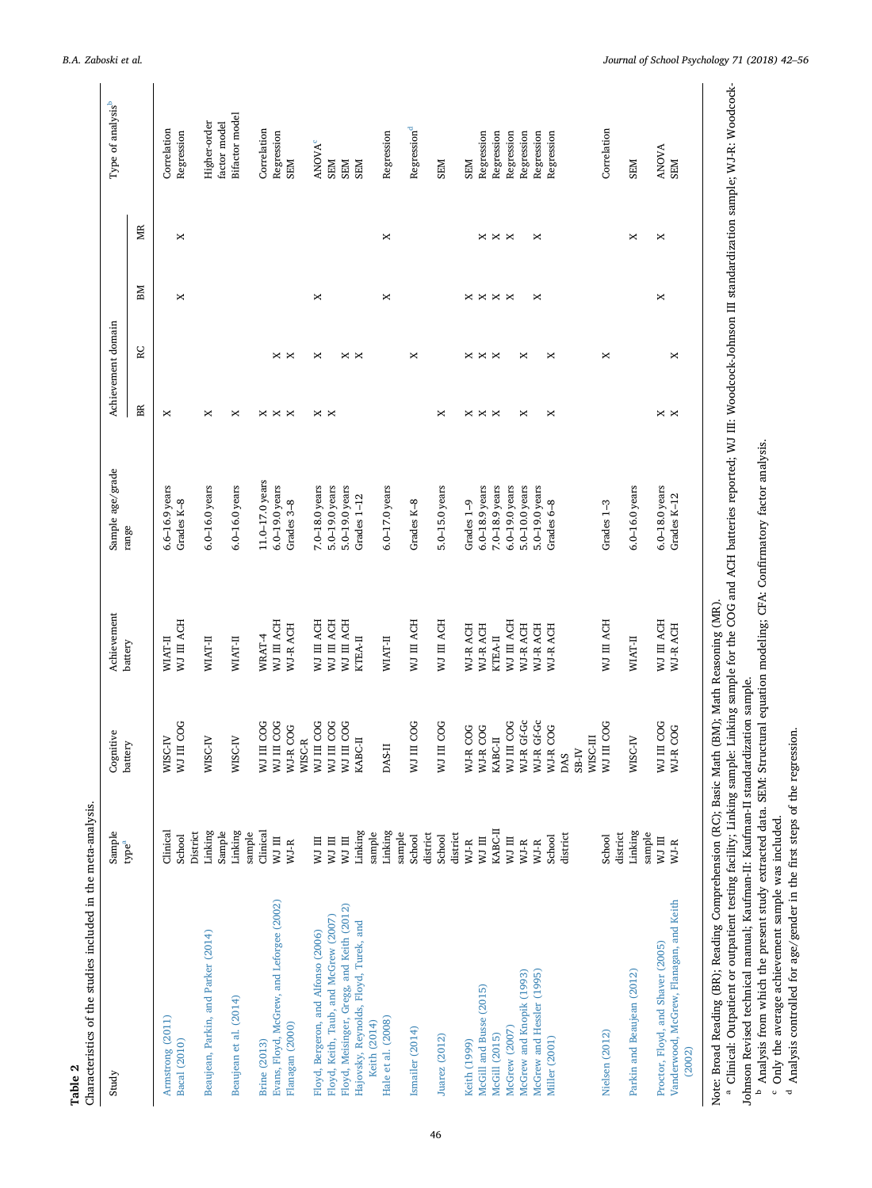<span id="page-4-4"></span>

| Bifactor model<br>Higher-order<br>factor model<br>Regression <sup>d</sup><br>Correlation<br>Correlation<br>Correlation<br>Regression<br>Regression<br>Regression<br>Regression<br>Regression<br>Regression<br>Regression<br>Regression<br>Regression<br><b>ANOVA<sup>c</sup></b><br><b>ANOVA</b><br>SEM<br>SEM<br>SEM<br><b>SEM</b><br>SEM<br>SEM<br><b>SEM</b><br>SEM<br>MR<br>×<br>×<br>×<br>$\times \times$<br>×<br>×<br>×<br>BМ<br>×<br>×<br>×<br>×<br><b>xxxx</b><br>×<br>RC<br>$\times$ $\times$<br>×<br>$\times$ $\times$<br>×<br>$\times \times \times$<br>×<br>×<br>×<br>×<br>BR<br>×<br>×<br>X<br>$\times$ $\times$<br>×<br>×<br>×<br>$\times \times$<br>$\times$ $\times$<br>$\times \times \times$<br>×<br>11.0-17.0 years<br>6.6-16.9 years<br>$6.0 - 16.0$ years<br>$6.0 - 19.0$ years<br>7.0-18.9 years<br>5.0-10.0 years<br>$6.0 - 18.0$ years<br>7.0-18.0 years<br>5.0-19.0 years<br>5.0-19.0 years<br>$6.0 - 18.9$ years<br>$6.0 - 19.0$ years<br>5.0-19.0 years<br>$6.0 - 16.0$ years<br>$6.0 - 17.0$ years<br>5.0-15.0 years<br>$6.0 - 16.0$ years<br>Grades K-12<br>Grades $1-12$<br>Grades K-8<br>Grades 3-8<br>Grades $1-9$<br>Grades 6-8<br>Grades K-8<br>Grades $1-3$<br>WJ III ACH<br>WJ III ACH<br>WJ III ACH<br>WJ III ACH<br>WJ III ACH<br>WJ III ACH<br>WJ III ACH<br>WJ III ACH<br>WJ III ACH<br>WJ III ACH<br>WJ-R ACH<br>WJ-R ACH<br>WJ-R ACH<br>WJ-R ACH<br>WJ-R ACH<br>WJ-R ACH<br>WJ-R ACH<br>WRAT-4<br>KTEA-II<br>KTEA-II<br>WIAT-II<br>WIAT-II<br>WIAT-II<br>WIAT-II<br>WIAT-II<br>WJ-R Gf-Gc<br>WJ-R Gf-Gc<br>WJ III COG<br>WJ III COG<br>WJ III COG<br>WJ III COG<br>WJ III COG<br>WJ III COG<br>WJ III COG<br><b>NJ III COG</b><br><b>NJIH COG</b><br>AN III COG<br>WJ III COG<br>WJ-R COG<br>WJ-R COG<br>WJ-R COG<br>WJ-R COG<br>WJ-R COG<br>WISC-R<br>KABC-II<br>KABC-II<br>WISC-IV<br>WISC-IV<br>WISC-III<br>WISC-IV<br>WISC-IV<br>DAS-II<br>$V-ES$<br>DAS<br>KABC-II<br>Linking<br>Sample<br>Linking<br>Linking<br>District<br>Clinical<br>Linking<br>Linking<br>Clinical<br>sample<br>sample<br>sample<br>sample<br>district<br>district<br>district<br>School<br>School<br>School<br>district<br>School<br>School<br>WJ III<br>WJ III<br>WJ III<br>WJ III<br>WJ III<br>WJ III<br>WJ III<br>$WJ-R$<br>$WJ-R$<br>$WJ-R$<br>$WJ-R$<br>$WJ-R$<br>Vanderwood, McGrew, Flanagan, and Keith<br>Evans, Floyd, McGrew, and Leforgee (2002)<br>Floyd, Meisinger, Gregg, and Keith (2012)<br>Floyd, Keith, Taub, and McGrew (2007)<br>Hajovsky, Reynolds, Floyd, Turek, and<br>Beaujean, Parkin, and Parker (2014)<br>Floyd, Bergeron, and Alfonso (2006)<br>Proctor, Floyd, and Shaver (2005)<br>McGrew and Hessler (1995)<br>McGrew and Knopik (1993)<br>Parkin and Beaujean (2012)<br>McGill and Busse (2015)<br>Beaujean et al. (2014)<br>Armstrong (2011)<br>Hale et al. (2008)<br>Keith (2014)<br>Flanagan (2000)<br>McGrew (2007)<br>Ismailer (2014)<br>Nielsen (2012)<br>McGill (2015)<br>Juarez (2012)<br>Miller (2001)<br><b>Bacal</b> (2010)<br>Keith (1999)<br><b>Brine</b> (2013)<br>(2002) | Study | Sample            | Cognitive | Achievement<br>battery | Sample age/grade | Achievement domain |  | Type of analysis <sup>b</sup> |
|----------------------------------------------------------------------------------------------------------------------------------------------------------------------------------------------------------------------------------------------------------------------------------------------------------------------------------------------------------------------------------------------------------------------------------------------------------------------------------------------------------------------------------------------------------------------------------------------------------------------------------------------------------------------------------------------------------------------------------------------------------------------------------------------------------------------------------------------------------------------------------------------------------------------------------------------------------------------------------------------------------------------------------------------------------------------------------------------------------------------------------------------------------------------------------------------------------------------------------------------------------------------------------------------------------------------------------------------------------------------------------------------------------------------------------------------------------------------------------------------------------------------------------------------------------------------------------------------------------------------------------------------------------------------------------------------------------------------------------------------------------------------------------------------------------------------------------------------------------------------------------------------------------------------------------------------------------------------------------------------------------------------------------------------------------------------------------------------------------------------------------------------------------------------------------------------------------------------------------------------------------------------------------------------------------------------------------------------------------------------------------------------------------------------------------------------------------------------------------------------------------------------------------------------------------------------------------------------------------------------------------------------------------------------------------------------------------------------------------------------------------------------------------------------------------------------------------------------------------------------------------------------------------------------------------------------------------------------------------------------------------------------------------------------|-------|-------------------|-----------|------------------------|------------------|--------------------|--|-------------------------------|
|                                                                                                                                                                                                                                                                                                                                                                                                                                                                                                                                                                                                                                                                                                                                                                                                                                                                                                                                                                                                                                                                                                                                                                                                                                                                                                                                                                                                                                                                                                                                                                                                                                                                                                                                                                                                                                                                                                                                                                                                                                                                                                                                                                                                                                                                                                                                                                                                                                                                                                                                                                                                                                                                                                                                                                                                                                                                                                                                                                                                                                              |       | type <sup>a</sup> | battery   |                        | range            |                    |  |                               |
|                                                                                                                                                                                                                                                                                                                                                                                                                                                                                                                                                                                                                                                                                                                                                                                                                                                                                                                                                                                                                                                                                                                                                                                                                                                                                                                                                                                                                                                                                                                                                                                                                                                                                                                                                                                                                                                                                                                                                                                                                                                                                                                                                                                                                                                                                                                                                                                                                                                                                                                                                                                                                                                                                                                                                                                                                                                                                                                                                                                                                                              |       |                   |           |                        |                  |                    |  |                               |
|                                                                                                                                                                                                                                                                                                                                                                                                                                                                                                                                                                                                                                                                                                                                                                                                                                                                                                                                                                                                                                                                                                                                                                                                                                                                                                                                                                                                                                                                                                                                                                                                                                                                                                                                                                                                                                                                                                                                                                                                                                                                                                                                                                                                                                                                                                                                                                                                                                                                                                                                                                                                                                                                                                                                                                                                                                                                                                                                                                                                                                              |       |                   |           |                        |                  |                    |  |                               |
|                                                                                                                                                                                                                                                                                                                                                                                                                                                                                                                                                                                                                                                                                                                                                                                                                                                                                                                                                                                                                                                                                                                                                                                                                                                                                                                                                                                                                                                                                                                                                                                                                                                                                                                                                                                                                                                                                                                                                                                                                                                                                                                                                                                                                                                                                                                                                                                                                                                                                                                                                                                                                                                                                                                                                                                                                                                                                                                                                                                                                                              |       |                   |           |                        |                  |                    |  |                               |
|                                                                                                                                                                                                                                                                                                                                                                                                                                                                                                                                                                                                                                                                                                                                                                                                                                                                                                                                                                                                                                                                                                                                                                                                                                                                                                                                                                                                                                                                                                                                                                                                                                                                                                                                                                                                                                                                                                                                                                                                                                                                                                                                                                                                                                                                                                                                                                                                                                                                                                                                                                                                                                                                                                                                                                                                                                                                                                                                                                                                                                              |       |                   |           |                        |                  |                    |  |                               |
|                                                                                                                                                                                                                                                                                                                                                                                                                                                                                                                                                                                                                                                                                                                                                                                                                                                                                                                                                                                                                                                                                                                                                                                                                                                                                                                                                                                                                                                                                                                                                                                                                                                                                                                                                                                                                                                                                                                                                                                                                                                                                                                                                                                                                                                                                                                                                                                                                                                                                                                                                                                                                                                                                                                                                                                                                                                                                                                                                                                                                                              |       |                   |           |                        |                  |                    |  |                               |
|                                                                                                                                                                                                                                                                                                                                                                                                                                                                                                                                                                                                                                                                                                                                                                                                                                                                                                                                                                                                                                                                                                                                                                                                                                                                                                                                                                                                                                                                                                                                                                                                                                                                                                                                                                                                                                                                                                                                                                                                                                                                                                                                                                                                                                                                                                                                                                                                                                                                                                                                                                                                                                                                                                                                                                                                                                                                                                                                                                                                                                              |       |                   |           |                        |                  |                    |  |                               |
|                                                                                                                                                                                                                                                                                                                                                                                                                                                                                                                                                                                                                                                                                                                                                                                                                                                                                                                                                                                                                                                                                                                                                                                                                                                                                                                                                                                                                                                                                                                                                                                                                                                                                                                                                                                                                                                                                                                                                                                                                                                                                                                                                                                                                                                                                                                                                                                                                                                                                                                                                                                                                                                                                                                                                                                                                                                                                                                                                                                                                                              |       |                   |           |                        |                  |                    |  |                               |
|                                                                                                                                                                                                                                                                                                                                                                                                                                                                                                                                                                                                                                                                                                                                                                                                                                                                                                                                                                                                                                                                                                                                                                                                                                                                                                                                                                                                                                                                                                                                                                                                                                                                                                                                                                                                                                                                                                                                                                                                                                                                                                                                                                                                                                                                                                                                                                                                                                                                                                                                                                                                                                                                                                                                                                                                                                                                                                                                                                                                                                              |       |                   |           |                        |                  |                    |  |                               |
|                                                                                                                                                                                                                                                                                                                                                                                                                                                                                                                                                                                                                                                                                                                                                                                                                                                                                                                                                                                                                                                                                                                                                                                                                                                                                                                                                                                                                                                                                                                                                                                                                                                                                                                                                                                                                                                                                                                                                                                                                                                                                                                                                                                                                                                                                                                                                                                                                                                                                                                                                                                                                                                                                                                                                                                                                                                                                                                                                                                                                                              |       |                   |           |                        |                  |                    |  |                               |
|                                                                                                                                                                                                                                                                                                                                                                                                                                                                                                                                                                                                                                                                                                                                                                                                                                                                                                                                                                                                                                                                                                                                                                                                                                                                                                                                                                                                                                                                                                                                                                                                                                                                                                                                                                                                                                                                                                                                                                                                                                                                                                                                                                                                                                                                                                                                                                                                                                                                                                                                                                                                                                                                                                                                                                                                                                                                                                                                                                                                                                              |       |                   |           |                        |                  |                    |  |                               |
|                                                                                                                                                                                                                                                                                                                                                                                                                                                                                                                                                                                                                                                                                                                                                                                                                                                                                                                                                                                                                                                                                                                                                                                                                                                                                                                                                                                                                                                                                                                                                                                                                                                                                                                                                                                                                                                                                                                                                                                                                                                                                                                                                                                                                                                                                                                                                                                                                                                                                                                                                                                                                                                                                                                                                                                                                                                                                                                                                                                                                                              |       |                   |           |                        |                  |                    |  |                               |
|                                                                                                                                                                                                                                                                                                                                                                                                                                                                                                                                                                                                                                                                                                                                                                                                                                                                                                                                                                                                                                                                                                                                                                                                                                                                                                                                                                                                                                                                                                                                                                                                                                                                                                                                                                                                                                                                                                                                                                                                                                                                                                                                                                                                                                                                                                                                                                                                                                                                                                                                                                                                                                                                                                                                                                                                                                                                                                                                                                                                                                              |       |                   |           |                        |                  |                    |  |                               |
|                                                                                                                                                                                                                                                                                                                                                                                                                                                                                                                                                                                                                                                                                                                                                                                                                                                                                                                                                                                                                                                                                                                                                                                                                                                                                                                                                                                                                                                                                                                                                                                                                                                                                                                                                                                                                                                                                                                                                                                                                                                                                                                                                                                                                                                                                                                                                                                                                                                                                                                                                                                                                                                                                                                                                                                                                                                                                                                                                                                                                                              |       |                   |           |                        |                  |                    |  |                               |
|                                                                                                                                                                                                                                                                                                                                                                                                                                                                                                                                                                                                                                                                                                                                                                                                                                                                                                                                                                                                                                                                                                                                                                                                                                                                                                                                                                                                                                                                                                                                                                                                                                                                                                                                                                                                                                                                                                                                                                                                                                                                                                                                                                                                                                                                                                                                                                                                                                                                                                                                                                                                                                                                                                                                                                                                                                                                                                                                                                                                                                              |       |                   |           |                        |                  |                    |  |                               |
|                                                                                                                                                                                                                                                                                                                                                                                                                                                                                                                                                                                                                                                                                                                                                                                                                                                                                                                                                                                                                                                                                                                                                                                                                                                                                                                                                                                                                                                                                                                                                                                                                                                                                                                                                                                                                                                                                                                                                                                                                                                                                                                                                                                                                                                                                                                                                                                                                                                                                                                                                                                                                                                                                                                                                                                                                                                                                                                                                                                                                                              |       |                   |           |                        |                  |                    |  |                               |
|                                                                                                                                                                                                                                                                                                                                                                                                                                                                                                                                                                                                                                                                                                                                                                                                                                                                                                                                                                                                                                                                                                                                                                                                                                                                                                                                                                                                                                                                                                                                                                                                                                                                                                                                                                                                                                                                                                                                                                                                                                                                                                                                                                                                                                                                                                                                                                                                                                                                                                                                                                                                                                                                                                                                                                                                                                                                                                                                                                                                                                              |       |                   |           |                        |                  |                    |  |                               |
|                                                                                                                                                                                                                                                                                                                                                                                                                                                                                                                                                                                                                                                                                                                                                                                                                                                                                                                                                                                                                                                                                                                                                                                                                                                                                                                                                                                                                                                                                                                                                                                                                                                                                                                                                                                                                                                                                                                                                                                                                                                                                                                                                                                                                                                                                                                                                                                                                                                                                                                                                                                                                                                                                                                                                                                                                                                                                                                                                                                                                                              |       |                   |           |                        |                  |                    |  |                               |
|                                                                                                                                                                                                                                                                                                                                                                                                                                                                                                                                                                                                                                                                                                                                                                                                                                                                                                                                                                                                                                                                                                                                                                                                                                                                                                                                                                                                                                                                                                                                                                                                                                                                                                                                                                                                                                                                                                                                                                                                                                                                                                                                                                                                                                                                                                                                                                                                                                                                                                                                                                                                                                                                                                                                                                                                                                                                                                                                                                                                                                              |       |                   |           |                        |                  |                    |  |                               |
|                                                                                                                                                                                                                                                                                                                                                                                                                                                                                                                                                                                                                                                                                                                                                                                                                                                                                                                                                                                                                                                                                                                                                                                                                                                                                                                                                                                                                                                                                                                                                                                                                                                                                                                                                                                                                                                                                                                                                                                                                                                                                                                                                                                                                                                                                                                                                                                                                                                                                                                                                                                                                                                                                                                                                                                                                                                                                                                                                                                                                                              |       |                   |           |                        |                  |                    |  |                               |
|                                                                                                                                                                                                                                                                                                                                                                                                                                                                                                                                                                                                                                                                                                                                                                                                                                                                                                                                                                                                                                                                                                                                                                                                                                                                                                                                                                                                                                                                                                                                                                                                                                                                                                                                                                                                                                                                                                                                                                                                                                                                                                                                                                                                                                                                                                                                                                                                                                                                                                                                                                                                                                                                                                                                                                                                                                                                                                                                                                                                                                              |       |                   |           |                        |                  |                    |  |                               |
|                                                                                                                                                                                                                                                                                                                                                                                                                                                                                                                                                                                                                                                                                                                                                                                                                                                                                                                                                                                                                                                                                                                                                                                                                                                                                                                                                                                                                                                                                                                                                                                                                                                                                                                                                                                                                                                                                                                                                                                                                                                                                                                                                                                                                                                                                                                                                                                                                                                                                                                                                                                                                                                                                                                                                                                                                                                                                                                                                                                                                                              |       |                   |           |                        |                  |                    |  |                               |
|                                                                                                                                                                                                                                                                                                                                                                                                                                                                                                                                                                                                                                                                                                                                                                                                                                                                                                                                                                                                                                                                                                                                                                                                                                                                                                                                                                                                                                                                                                                                                                                                                                                                                                                                                                                                                                                                                                                                                                                                                                                                                                                                                                                                                                                                                                                                                                                                                                                                                                                                                                                                                                                                                                                                                                                                                                                                                                                                                                                                                                              |       |                   |           |                        |                  |                    |  |                               |
|                                                                                                                                                                                                                                                                                                                                                                                                                                                                                                                                                                                                                                                                                                                                                                                                                                                                                                                                                                                                                                                                                                                                                                                                                                                                                                                                                                                                                                                                                                                                                                                                                                                                                                                                                                                                                                                                                                                                                                                                                                                                                                                                                                                                                                                                                                                                                                                                                                                                                                                                                                                                                                                                                                                                                                                                                                                                                                                                                                                                                                              |       |                   |           |                        |                  |                    |  |                               |
|                                                                                                                                                                                                                                                                                                                                                                                                                                                                                                                                                                                                                                                                                                                                                                                                                                                                                                                                                                                                                                                                                                                                                                                                                                                                                                                                                                                                                                                                                                                                                                                                                                                                                                                                                                                                                                                                                                                                                                                                                                                                                                                                                                                                                                                                                                                                                                                                                                                                                                                                                                                                                                                                                                                                                                                                                                                                                                                                                                                                                                              |       |                   |           |                        |                  |                    |  |                               |
|                                                                                                                                                                                                                                                                                                                                                                                                                                                                                                                                                                                                                                                                                                                                                                                                                                                                                                                                                                                                                                                                                                                                                                                                                                                                                                                                                                                                                                                                                                                                                                                                                                                                                                                                                                                                                                                                                                                                                                                                                                                                                                                                                                                                                                                                                                                                                                                                                                                                                                                                                                                                                                                                                                                                                                                                                                                                                                                                                                                                                                              |       |                   |           |                        |                  |                    |  |                               |
|                                                                                                                                                                                                                                                                                                                                                                                                                                                                                                                                                                                                                                                                                                                                                                                                                                                                                                                                                                                                                                                                                                                                                                                                                                                                                                                                                                                                                                                                                                                                                                                                                                                                                                                                                                                                                                                                                                                                                                                                                                                                                                                                                                                                                                                                                                                                                                                                                                                                                                                                                                                                                                                                                                                                                                                                                                                                                                                                                                                                                                              |       |                   |           |                        |                  |                    |  |                               |
|                                                                                                                                                                                                                                                                                                                                                                                                                                                                                                                                                                                                                                                                                                                                                                                                                                                                                                                                                                                                                                                                                                                                                                                                                                                                                                                                                                                                                                                                                                                                                                                                                                                                                                                                                                                                                                                                                                                                                                                                                                                                                                                                                                                                                                                                                                                                                                                                                                                                                                                                                                                                                                                                                                                                                                                                                                                                                                                                                                                                                                              |       |                   |           |                        |                  |                    |  |                               |
|                                                                                                                                                                                                                                                                                                                                                                                                                                                                                                                                                                                                                                                                                                                                                                                                                                                                                                                                                                                                                                                                                                                                                                                                                                                                                                                                                                                                                                                                                                                                                                                                                                                                                                                                                                                                                                                                                                                                                                                                                                                                                                                                                                                                                                                                                                                                                                                                                                                                                                                                                                                                                                                                                                                                                                                                                                                                                                                                                                                                                                              |       |                   |           |                        |                  |                    |  |                               |
|                                                                                                                                                                                                                                                                                                                                                                                                                                                                                                                                                                                                                                                                                                                                                                                                                                                                                                                                                                                                                                                                                                                                                                                                                                                                                                                                                                                                                                                                                                                                                                                                                                                                                                                                                                                                                                                                                                                                                                                                                                                                                                                                                                                                                                                                                                                                                                                                                                                                                                                                                                                                                                                                                                                                                                                                                                                                                                                                                                                                                                              |       |                   |           |                        |                  |                    |  |                               |
|                                                                                                                                                                                                                                                                                                                                                                                                                                                                                                                                                                                                                                                                                                                                                                                                                                                                                                                                                                                                                                                                                                                                                                                                                                                                                                                                                                                                                                                                                                                                                                                                                                                                                                                                                                                                                                                                                                                                                                                                                                                                                                                                                                                                                                                                                                                                                                                                                                                                                                                                                                                                                                                                                                                                                                                                                                                                                                                                                                                                                                              |       |                   |           |                        |                  |                    |  |                               |
|                                                                                                                                                                                                                                                                                                                                                                                                                                                                                                                                                                                                                                                                                                                                                                                                                                                                                                                                                                                                                                                                                                                                                                                                                                                                                                                                                                                                                                                                                                                                                                                                                                                                                                                                                                                                                                                                                                                                                                                                                                                                                                                                                                                                                                                                                                                                                                                                                                                                                                                                                                                                                                                                                                                                                                                                                                                                                                                                                                                                                                              |       |                   |           |                        |                  |                    |  |                               |
|                                                                                                                                                                                                                                                                                                                                                                                                                                                                                                                                                                                                                                                                                                                                                                                                                                                                                                                                                                                                                                                                                                                                                                                                                                                                                                                                                                                                                                                                                                                                                                                                                                                                                                                                                                                                                                                                                                                                                                                                                                                                                                                                                                                                                                                                                                                                                                                                                                                                                                                                                                                                                                                                                                                                                                                                                                                                                                                                                                                                                                              |       |                   |           |                        |                  |                    |  |                               |
|                                                                                                                                                                                                                                                                                                                                                                                                                                                                                                                                                                                                                                                                                                                                                                                                                                                                                                                                                                                                                                                                                                                                                                                                                                                                                                                                                                                                                                                                                                                                                                                                                                                                                                                                                                                                                                                                                                                                                                                                                                                                                                                                                                                                                                                                                                                                                                                                                                                                                                                                                                                                                                                                                                                                                                                                                                                                                                                                                                                                                                              |       |                   |           |                        |                  |                    |  |                               |
|                                                                                                                                                                                                                                                                                                                                                                                                                                                                                                                                                                                                                                                                                                                                                                                                                                                                                                                                                                                                                                                                                                                                                                                                                                                                                                                                                                                                                                                                                                                                                                                                                                                                                                                                                                                                                                                                                                                                                                                                                                                                                                                                                                                                                                                                                                                                                                                                                                                                                                                                                                                                                                                                                                                                                                                                                                                                                                                                                                                                                                              |       |                   |           |                        |                  |                    |  |                               |
|                                                                                                                                                                                                                                                                                                                                                                                                                                                                                                                                                                                                                                                                                                                                                                                                                                                                                                                                                                                                                                                                                                                                                                                                                                                                                                                                                                                                                                                                                                                                                                                                                                                                                                                                                                                                                                                                                                                                                                                                                                                                                                                                                                                                                                                                                                                                                                                                                                                                                                                                                                                                                                                                                                                                                                                                                                                                                                                                                                                                                                              |       |                   |           |                        |                  |                    |  |                               |
|                                                                                                                                                                                                                                                                                                                                                                                                                                                                                                                                                                                                                                                                                                                                                                                                                                                                                                                                                                                                                                                                                                                                                                                                                                                                                                                                                                                                                                                                                                                                                                                                                                                                                                                                                                                                                                                                                                                                                                                                                                                                                                                                                                                                                                                                                                                                                                                                                                                                                                                                                                                                                                                                                                                                                                                                                                                                                                                                                                                                                                              |       |                   |           |                        |                  |                    |  |                               |
|                                                                                                                                                                                                                                                                                                                                                                                                                                                                                                                                                                                                                                                                                                                                                                                                                                                                                                                                                                                                                                                                                                                                                                                                                                                                                                                                                                                                                                                                                                                                                                                                                                                                                                                                                                                                                                                                                                                                                                                                                                                                                                                                                                                                                                                                                                                                                                                                                                                                                                                                                                                                                                                                                                                                                                                                                                                                                                                                                                                                                                              |       |                   |           |                        |                  |                    |  |                               |
|                                                                                                                                                                                                                                                                                                                                                                                                                                                                                                                                                                                                                                                                                                                                                                                                                                                                                                                                                                                                                                                                                                                                                                                                                                                                                                                                                                                                                                                                                                                                                                                                                                                                                                                                                                                                                                                                                                                                                                                                                                                                                                                                                                                                                                                                                                                                                                                                                                                                                                                                                                                                                                                                                                                                                                                                                                                                                                                                                                                                                                              |       |                   |           |                        |                  |                    |  |                               |

Note: Broad Reading (BR); Reading Comprehension (RC); Basic Math (BM); Math Reasoning (MR).

<span id="page-4-3"></span><span id="page-4-2"></span><span id="page-4-1"></span><span id="page-4-0"></span><sup>a</sup> Clinical: Outpatient or outpatient testing facility; Linking sample: Linking sample for the COG and ACH batteries reported; WJ III: Woodcock-Johnson III standardization sample; WJ-R: Woodcock-Note: Broad Reading (BR); Reading Comprehension (RC); Basic Math (BM); Math Reasoning (MR).<br>" Clinical: Outpatient or outpatient testing facility; Linking sample: Linking sample for the COG and ACH batteries reported; WJ I Johnson Revised technical manual; Kaufman-II: Kaufman-II standardization sample.

<sup>b</sup> Analysis from which the present study extracted data. SEM: Structural equation modeling; CFA: Confirmatory factor analysis. Johnson Revised technical manual; Kaufman-II: Kaufman-II standardization sample.<br><sup>b</sup> Analysis from which the present study extracted data. SEM: Structural equation modeling; CFA: Confirmatory factor analysis.<br><sup>c</sup> Only the

 $^{\rm c}$  Only the average achievement sample was included.  $^{\rm d}$  Analysis controlled for age/gender in the first steps of the regression.

**Table 2**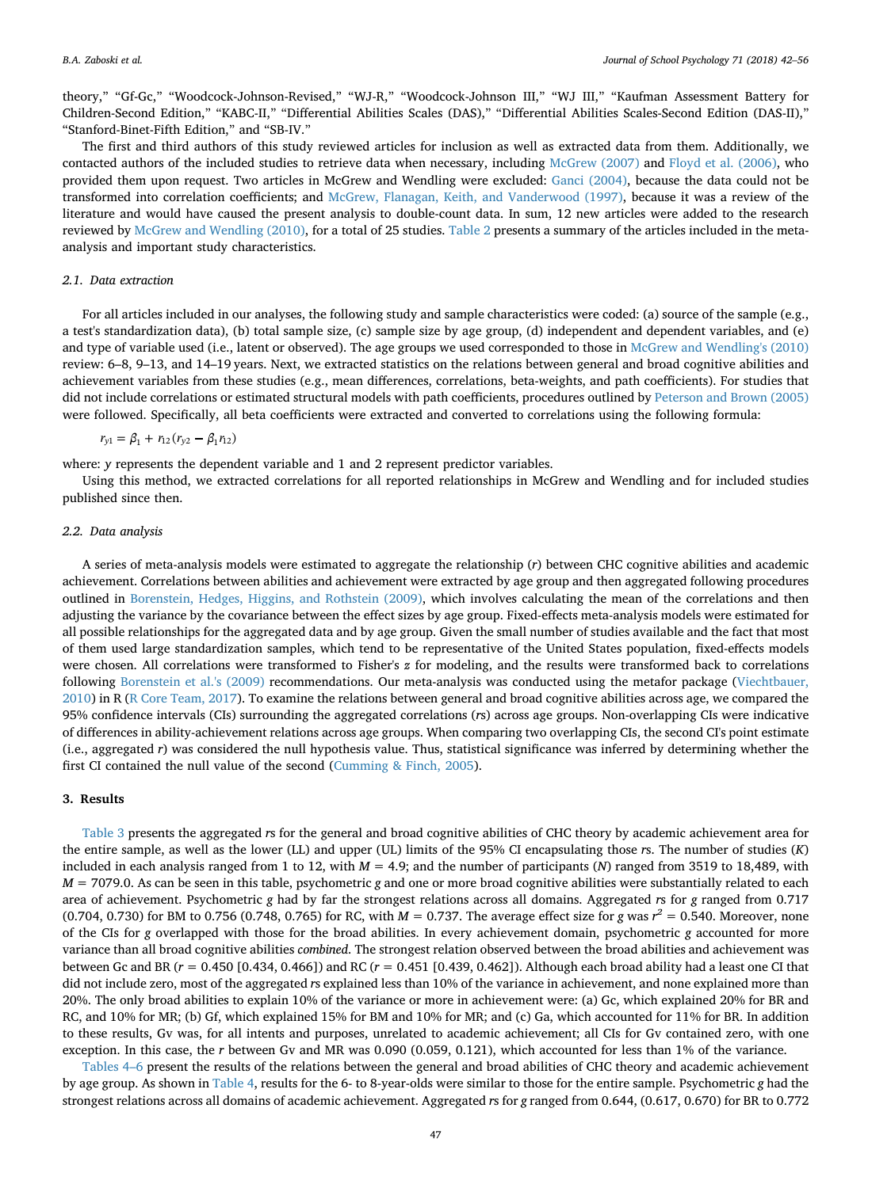theory," "Gf-Gc," "Woodcock-Johnson-Revised," "WJ-R," "Woodcock-Johnson III," "WJ III," "Kaufman Assessment Battery for Children-Second Edition," "KABC-II," "Differential Abilities Scales (DAS)," "Differential Abilities Scales-Second Edition (DAS-II)," "Stanford-Binet-Fifth Edition," and "SB-IV."

The first and third authors of this study reviewed articles for inclusion as well as extracted data from them. Additionally, we contacted authors of the included studies to retrieve data when necessary, including [McGrew \(2007\)](#page-13-16) and [Floyd et al. \(2006\)](#page-13-18), who provided them upon request. Two articles in McGrew and Wendling were excluded: [Ganci \(2004\),](#page-13-32) because the data could not be transformed into correlation coefficients; and [McGrew, Flanagan, Keith, and Vanderwood \(1997\)](#page-13-33), because it was a review of the literature and would have caused the present analysis to double-count data. In sum, 12 new articles were added to the research reviewed by [McGrew and Wendling \(2010\),](#page-13-15) for a total of 25 studies. [Table 2](#page-4-4) presents a summary of the articles included in the metaanalysis and important study characteristics.

# *2.1. Data extraction*

For all articles included in our analyses, the following study and sample characteristics were coded: (a) source of the sample (e.g., a test's standardization data), (b) total sample size, (c) sample size by age group, (d) independent and dependent variables, and (e) and type of variable used (i.e., latent or observed). The age groups we used corresponded to those in [McGrew and Wendling's \(2010\)](#page-13-15) review: 6–8, 9–13, and 14–19 years. Next, we extracted statistics on the relations between general and broad cognitive abilities and achievement variables from these studies (e.g., mean differences, correlations, beta-weights, and path coefficients). For studies that did not include correlations or estimated structural models with path coefficients, procedures outlined by [Peterson and Brown \(2005\)](#page-14-17) were followed. Specifically, all beta coefficients were extracted and converted to correlations using the following formula:

$$
r_{y1} = \beta_1 + r_{12}(r_{y2} - \beta_1 r_{12})
$$

where: *y* represents the dependent variable and 1 and 2 represent predictor variables.

Using this method, we extracted correlations for all reported relationships in McGrew and Wendling and for included studies published since then.

### *2.2. Data analysis*

A series of meta-analysis models were estimated to aggregate the relationship (*r*) between CHC cognitive abilities and academic achievement. Correlations between abilities and achievement were extracted by age group and then aggregated following procedures outlined in [Borenstein, Hedges, Higgins, and Rothstein \(2009\),](#page-12-21) which involves calculating the mean of the correlations and then adjusting the variance by the covariance between the effect sizes by age group. Fixed-effects meta-analysis models were estimated for all possible relationships for the aggregated data and by age group. Given the small number of studies available and the fact that most of them used large standardization samples, which tend to be representative of the United States population, fixed-effects models were chosen. All correlations were transformed to Fisher's *z* for modeling, and the results were transformed back to correlations following [Borenstein et al.'s \(2009\)](#page-12-21) recommendations. Our meta-analysis was conducted using the metafor package [\(Viechtbauer,](#page-14-18) [2010\)](#page-14-18) in R ([R Core Team, 2017](#page-14-19)). To examine the relations between general and broad cognitive abilities across age, we compared the 95% confidence intervals (CIs) surrounding the aggregated correlations (*r*s) across age groups. Non-overlapping CIs were indicative of differences in ability-achievement relations across age groups. When comparing two overlapping CIs, the second CI's point estimate (i.e., aggregated *r*) was considered the null hypothesis value. Thus, statistical significance was inferred by determining whether the first CI contained the null value of the second ([Cumming & Finch, 2005\)](#page-12-22).

## **3. Results**

[Table 3](#page-6-0) presents the aggregated *r*s for the general and broad cognitive abilities of CHC theory by academic achievement area for the entire sample, as well as the lower (LL) and upper (UL) limits of the 95% CI encapsulating those *r*s. The number of studies (*K*) included in each analysis ranged from 1 to 12, with *M* = 4.9; and the number of participants (*N*) ranged from 3519 to 18,489, with *M* = 7079.0. As can be seen in this table, psychometric *g* and one or more broad cognitive abilities were substantially related to each area of achievement. Psychometric *g* had by far the strongest relations across all domains. Aggregated *r*s for *g* ranged from 0.717 (0.704, 0.730) for BM to 0.756 (0.748, 0.765) for RC, with  $M = 0.737$ . The average effect size for *g* was  $r^2 = 0.540$ . Moreover, none of the CIs for *g* overlapped with those for the broad abilities. In every achievement domain, psychometric *g* accounted for more variance than all broad cognitive abilities *combined*. The strongest relation observed between the broad abilities and achievement was between Gc and BR (*r* = 0.450 [0.434, 0.466]) and RC (*r* = 0.451 [0.439, 0.462]). Although each broad ability had a least one CI that did not include zero, most of the aggregated *r*s explained less than 10% of the variance in achievement, and none explained more than 20%. The only broad abilities to explain 10% of the variance or more in achievement were: (a) Gc, which explained 20% for BR and RC, and 10% for MR; (b) Gf, which explained 15% for BM and 10% for MR; and (c) Ga, which accounted for 11% for BR. In addition to these results, Gv was, for all intents and purposes, unrelated to academic achievement; all CIs for Gv contained zero, with one exception. In this case, the *r* between Gv and MR was 0.090 (0.059, 0.121), which accounted for less than 1% of the variance.

[Tables 4–6](#page-7-0) present the results of the relations between the general and broad abilities of CHC theory and academic achievement by age group. As shown in [Table 4,](#page-7-0) results for the 6- to 8-year-olds were similar to those for the entire sample. Psychometric *g* had the strongest relations across all domains of academic achievement. Aggregated *r*s for *g* ranged from 0.644, (0.617, 0.670) for BR to 0.772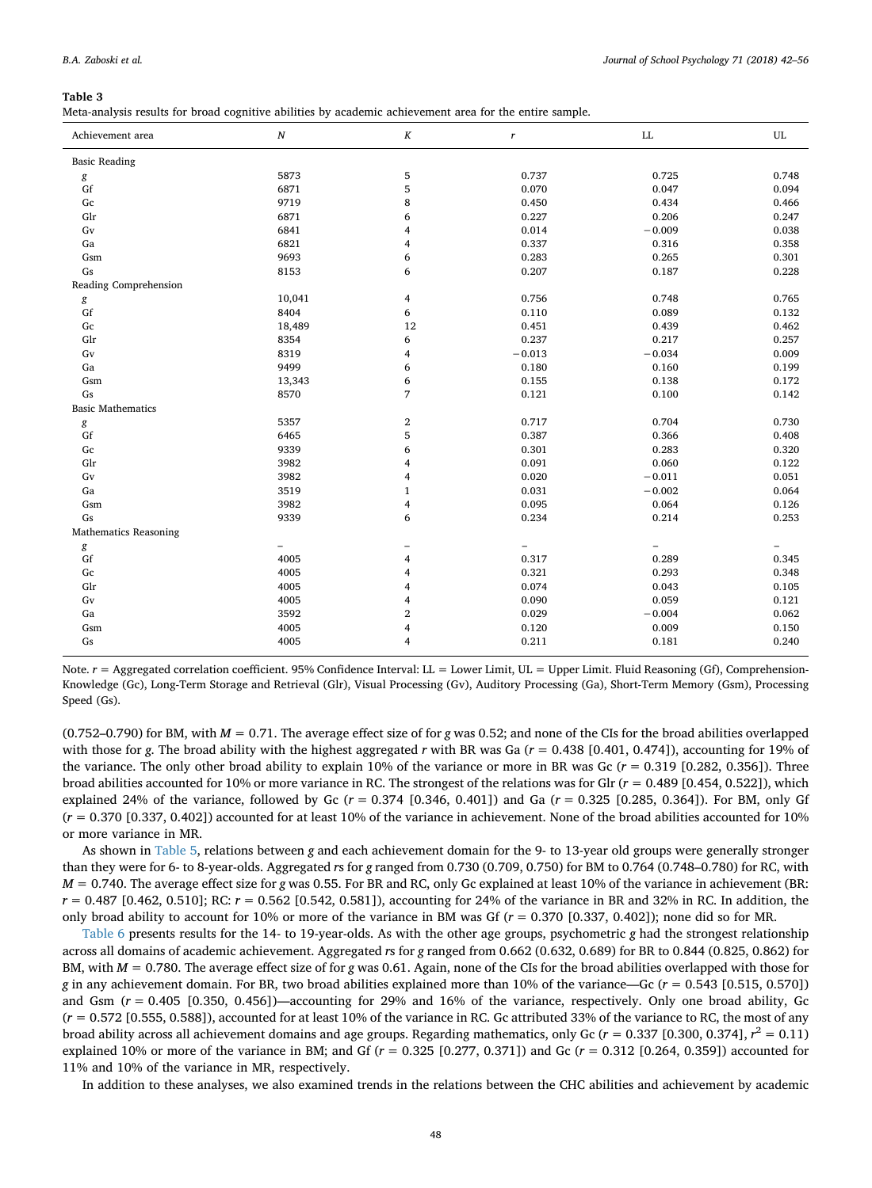<span id="page-6-0"></span>

| Meta-analysis results for broad cognitive abilities by academic achievement area for the entire sample. |  |  |  |
|---------------------------------------------------------------------------------------------------------|--|--|--|
|---------------------------------------------------------------------------------------------------------|--|--|--|

| Achievement area          | $\boldsymbol{N}$         | $\cal K$                | $\boldsymbol{r}$         | ${\rm LL}$        | $_{\rm UL}$ |
|---------------------------|--------------------------|-------------------------|--------------------------|-------------------|-------------|
| <b>Basic Reading</b>      |                          |                         |                          |                   |             |
| g                         | 5873                     | 5                       | 0.737                    | 0.725             | 0.748       |
| Gf                        | 6871                     | 5                       | 0.070                    | 0.047             | 0.094       |
| ${\rm G}{\rm c}$          | 9719                     | 8                       | 0.450                    | 0.434             | 0.466       |
| Glr                       | 6871                     | 6                       | 0.227                    | 0.206             | 0.247       |
| $\rm\,Gv$                 | 6841                     | 4                       | 0.014                    | $-0.009$          | 0.038       |
| Ga                        | 6821                     | 4                       | 0.337                    | 0.316             | 0.358       |
| Gsm                       | 9693                     | 6                       | 0.283                    | 0.265             | 0.301       |
| Gs                        | 8153                     | 6                       | 0.207                    | 0.187             | 0.228       |
| Reading Comprehension     |                          |                         |                          |                   |             |
| g                         | 10,041                   | 4                       | 0.756                    | 0.748             | 0.765       |
| Gf                        | 8404                     | 6                       | 0.110                    | 0.089             | 0.132       |
| ${\rm G}{\rm c}$          | 18,489                   | 12                      | 0.451                    | 0.439             | 0.462       |
| Glr                       | 8354                     | 6                       | 0.237                    | 0.217             | 0.257       |
| Gv                        | 8319                     | 4                       | $-0.013$                 | $-0.034$          | 0.009       |
| Ga                        | 9499                     | 6                       | 0.180                    | 0.160             | 0.199       |
| Gsm                       | 13,343                   | 6                       | 0.155                    | 0.138             | 0.172       |
| Gs                        | 8570                     | 7                       | 0.121                    | 0.100             | 0.142       |
| <b>Basic Mathematics</b>  |                          |                         |                          |                   |             |
| g                         | 5357                     | $\boldsymbol{2}$        | 0.717                    | 0.704             | 0.730       |
| ${\mathbf G} {\mathbf f}$ | 6465                     | 5                       | 0.387                    | 0.366             | 0.408       |
| ${\rm G}{\rm c}$          | 9339                     | 6                       | 0.301                    | 0.283             | 0.320       |
| Glr                       | 3982                     | 4                       | 0.091                    | 0.060             | 0.122       |
| $\mathbf{G}\mathbf{v}$    | 3982                     | 4                       | 0.020                    | $-0.011$          | 0.051       |
| Ga                        | 3519                     | $\mathbf{1}$            | 0.031                    | $-0.002$          | 0.064       |
| Gsm                       | 3982                     | 4                       | 0.095                    | 0.064             | 0.126       |
| Gs                        | 9339                     | 6                       | 0.234                    | 0.214             | 0.253       |
| Mathematics Reasoning     |                          |                         |                          |                   |             |
| g                         | $\overline{\phantom{0}}$ | -                       | $\overline{\phantom{a}}$ | $\qquad \qquad -$ |             |
| ${\mathbf G} {\mathbf f}$ | 4005                     | 4                       | 0.317                    | 0.289             | 0.345       |
| ${\rm G}{\rm c}$          | 4005                     | 4                       | 0.321                    | 0.293             | 0.348       |
| Glr                       | 4005                     | 4                       | 0.074                    | 0.043             | 0.105       |
| $\mathbf{G}\mathbf{v}$    | 4005                     | 4                       | 0.090                    | 0.059             | 0.121       |
| Ga                        | 3592                     | $\overline{2}$          | 0.029                    | $-0.004$          | 0.062       |
| Gsm                       | 4005                     | 4                       | 0.120                    | 0.009             | 0.150       |
| $\mathbf{G}\mathbf{s}$    | 4005                     | $\overline{\mathbf{4}}$ | 0.211                    | 0.181             | 0.240       |
|                           |                          |                         |                          |                   |             |

Note.  $r =$  Aggregated correlation coefficient. 95% Confidence Interval: LL = Lower Limit, UL = Upper Limit. Fluid Reasoning (Gf), Comprehension-Knowledge (Gc), Long-Term Storage and Retrieval (Glr), Visual Processing (Gv), Auditory Processing (Ga), Short-Term Memory (Gsm), Processing Speed (Gs).

 $(0.752-0.790)$  for BM, with  $M = 0.71$ . The average effect size of for *g* was 0.52; and none of the CIs for the broad abilities overlapped with those for *g*. The broad ability with the highest aggregated *r* with BR was Ga ( $r = 0.438$  [0.401, 0.474]), accounting for 19% of the variance. The only other broad ability to explain 10% of the variance or more in BR was Gc (*r* = 0.319 [0.282, 0.356]). Three broad abilities accounted for 10% or more variance in RC. The strongest of the relations was for Glr (*r* = 0.489 [0.454, 0.522]), which explained 24% of the variance, followed by Gc (*r* = 0.374 [0.346, 0.401]) and Ga (*r* = 0.325 [0.285, 0.364]). For BM, only Gf (*r* = 0.370 [0.337, 0.402]) accounted for at least 10% of the variance in achievement. None of the broad abilities accounted for 10% or more variance in MR.

As shown in [Table 5](#page-8-0), relations between *g* and each achievement domain for the 9- to 13-year old groups were generally stronger than they were for 6- to 8-year-olds. Aggregated *r*s for *g* ranged from 0.730 (0.709, 0.750) for BM to 0.764 (0.748–0.780) for RC, with *M* = 0.740. The average effect size for *g* was 0.55. For BR and RC, only Gc explained at least 10% of the variance in achievement (BR: *r* = 0.487 [0.462, 0.510]; RC: *r* = 0.562 [0.542, 0.581]), accounting for 24% of the variance in BR and 32% in RC. In addition, the only broad ability to account for 10% or more of the variance in BM was Gf (*r* = 0.370 [0.337, 0.402]); none did so for MR.

[Table 6](#page-9-0) presents results for the 14- to 19-year-olds. As with the other age groups, psychometric *g* had the strongest relationship across all domains of academic achievement. Aggregated *r*s for *g* ranged from 0.662 (0.632, 0.689) for BR to 0.844 (0.825, 0.862) for BM, with *M* = 0.780. The average effect size of for *g* was 0.61. Again, none of the CIs for the broad abilities overlapped with those for *g* in any achievement domain. For BR, two broad abilities explained more than 10% of the variance—Gc (*r* = 0.543 [0.515, 0.570]) and Gsm (*r* = 0.405 [0.350, 0.456])—accounting for 29% and 16% of the variance, respectively. Only one broad ability, Gc (*r* = 0.572 [0.555, 0.588]), accounted for at least 10% of the variance in RC. Gc attributed 33% of the variance to RC, the most of any broad ability across all achievement domains and age groups. Regarding mathematics, only Gc (*r* = 0.337 [0.300, 0.374], *r* <sup>2</sup> = 0.11) explained 10% or more of the variance in BM; and Gf (*r* = 0.325 [0.277, 0.371]) and Gc (*r* = 0.312 [0.264, 0.359]) accounted for 11% and 10% of the variance in MR, respectively.

In addition to these analyses, we also examined trends in the relations between the CHC abilities and achievement by academic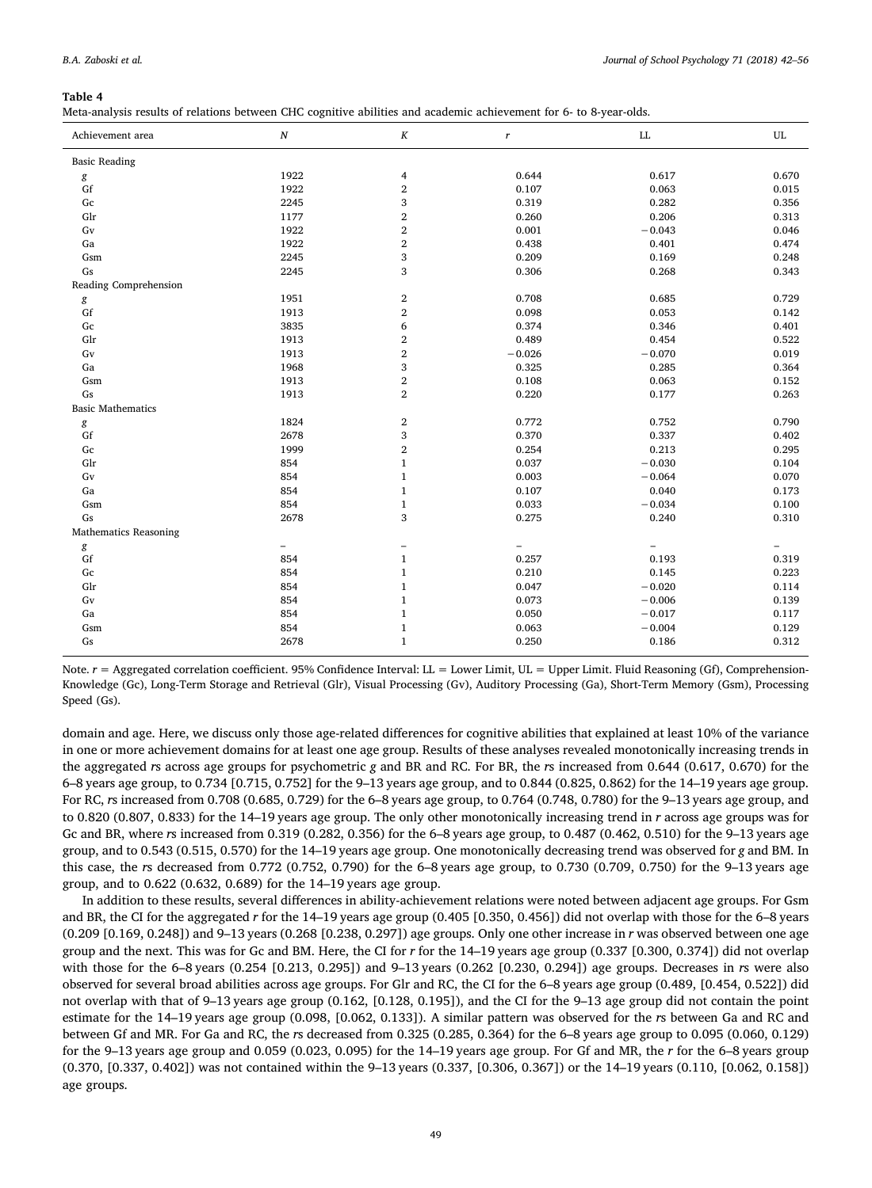<span id="page-7-0"></span>

|  | Meta-analysis results of relations between CHC cognitive abilities and academic achievement for 6- to 8-year-olds. |  |  |
|--|--------------------------------------------------------------------------------------------------------------------|--|--|
|--|--------------------------------------------------------------------------------------------------------------------|--|--|

| Achievement area          | $\boldsymbol{N}$ | $\cal K$                 | $\boldsymbol{r}$         | ${\rm LL}$        | $_{\rm UL}$ |
|---------------------------|------------------|--------------------------|--------------------------|-------------------|-------------|
| <b>Basic Reading</b>      |                  |                          |                          |                   |             |
| g                         | 1922             | 4                        | 0.644                    | 0.617             | 0.670       |
| Gf                        | 1922             | $\overline{\mathbf{2}}$  | 0.107                    | 0.063             | 0.015       |
| Gc                        | 2245             | 3                        | 0.319                    | 0.282             | 0.356       |
| Glr                       | 1177             | $\overline{2}$           | 0.260                    | 0.206             | 0.313       |
| Gv                        | 1922             | $\overline{\mathbf{2}}$  | 0.001                    | $-0.043$          | 0.046       |
| Ga                        | 1922             | $\overline{\mathbf{c}}$  | 0.438                    | 0.401             | 0.474       |
| Gsm                       | 2245             | 3                        | 0.209                    | 0.169             | 0.248       |
| $\mathbf{G}\mathbf{s}$    | 2245             | 3                        | 0.306                    | 0.268             | 0.343       |
| Reading Comprehension     |                  |                          |                          |                   |             |
| g                         | 1951             | $\overline{\mathbf{2}}$  | 0.708                    | 0.685             | 0.729       |
| ${\mathbf G} {\mathbf f}$ | 1913             | $\boldsymbol{2}$         | 0.098                    | 0.053             | 0.142       |
| ${\bf G}{\bf c}$          | 3835             | 6                        | 0.374                    | 0.346             | 0.401       |
| Glr                       | 1913             | $\overline{\mathbf{2}}$  | 0.489                    | 0.454             | 0.522       |
| Gv                        | 1913             | $\overline{\mathbf{2}}$  | $-0.026$                 | $-0.070$          | 0.019       |
| Ga                        | 1968             | 3                        | 0.325                    | 0.285             | 0.364       |
| Gsm                       | 1913             | $\overline{\mathbf{2}}$  | 0.108                    | 0.063             | 0.152       |
| Gs                        | 1913             | $\overline{\mathbf{2}}$  | 0.220                    | 0.177             | 0.263       |
| <b>Basic Mathematics</b>  |                  |                          |                          |                   |             |
| g                         | 1824             | $\boldsymbol{2}$         | 0.772                    | 0.752             | 0.790       |
| Gf                        | 2678             | 3                        | 0.370                    | 0.337             | 0.402       |
| ${\bf G}{\bf c}$          | 1999             | $\overline{2}$           | 0.254                    | 0.213             | 0.295       |
| Glr                       | 854              | $\,1$                    | 0.037                    | $-0.030$          | 0.104       |
| Gv                        | 854              | $\mathbf 1$              | 0.003                    | $-0.064$          | 0.070       |
| Ga                        | 854              | $\mathbf 1$              | 0.107                    | 0.040             | 0.173       |
| Gsm                       | 854              | $\mathbf 1$              | 0.033                    | $-0.034$          | 0.100       |
| Gs                        | 2678             | 3                        | 0.275                    | 0.240             | 0.310       |
| Mathematics Reasoning     |                  |                          |                          |                   |             |
| g                         | -                | $\overline{\phantom{0}}$ | $\overline{\phantom{0}}$ | $\qquad \qquad -$ |             |
| ${\mathbf G} {\mathbf f}$ | 854              | $\mathbf 1$              | 0.257                    | 0.193             | 0.319       |
| ${\rm G}{\rm c}$          | 854              | $\mathbf{1}$             | 0.210                    | 0.145             | 0.223       |
| Glr                       | 854              | $\mathbf{1}$             | 0.047                    | $-0.020$          | 0.114       |
| Gv                        | 854              | $\mathbf{1}$             | 0.073                    | $-0.006$          | 0.139       |
| Ga                        | 854              | $\mathbf{1}$             | 0.050                    | $-0.017$          | 0.117       |
| Gsm                       | 854              | $\mathbf 1$              | 0.063                    | $-0.004$          | 0.129       |
| $\rm{Gs}$                 | 2678             | $\mathbf{1}$             | 0.250                    | 0.186             | 0.312       |

Note.  $r =$  Aggregated correlation coefficient. 95% Confidence Interval: LL = Lower Limit, UL = Upper Limit. Fluid Reasoning (Gf), Comprehension-Knowledge (Gc), Long-Term Storage and Retrieval (Glr), Visual Processing (Gv), Auditory Processing (Ga), Short-Term Memory (Gsm), Processing Speed (Gs).

domain and age. Here, we discuss only those age-related differences for cognitive abilities that explained at least 10% of the variance in one or more achievement domains for at least one age group. Results of these analyses revealed monotonically increasing trends in the aggregated *r*s across age groups for psychometric *g* and BR and RC. For BR, the *r*s increased from 0.644 (0.617, 0.670) for the 6–8 years age group, to 0.734 [0.715, 0.752] for the 9–13 years age group, and to 0.844 (0.825, 0.862) for the 14–19 years age group. For RC, *r*s increased from 0.708 (0.685, 0.729) for the 6–8 years age group, to 0.764 (0.748, 0.780) for the 9–13 years age group, and to 0.820 (0.807, 0.833) for the 14–19 years age group. The only other monotonically increasing trend in *r* across age groups was for Gc and BR, where *r*s increased from 0.319 (0.282, 0.356) for the 6–8 years age group, to 0.487 (0.462, 0.510) for the 9–13 years age group, and to 0.543 (0.515, 0.570) for the 14–19 years age group. One monotonically decreasing trend was observed for *g* and BM. In this case, the *r*s decreased from 0.772 (0.752, 0.790) for the 6–8 years age group, to 0.730 (0.709, 0.750) for the 9–13 years age group, and to 0.622 (0.632, 0.689) for the 14–19 years age group.

In addition to these results, several differences in ability-achievement relations were noted between adjacent age groups. For Gsm and BR, the CI for the aggregated *r* for the 14–19 years age group (0.405 [0.350, 0.456]) did not overlap with those for the 6–8 years (0.209 [0.169, 0.248]) and 9–13 years (0.268 [0.238, 0.297]) age groups. Only one other increase in *r* was observed between one age group and the next. This was for Gc and BM. Here, the CI for *r* for the 14–19 years age group (0.337 [0.300, 0.374]) did not overlap with those for the 6–8 years (0.254 [0.213, 0.295]) and 9–13 years (0.262 [0.230, 0.294]) age groups. Decreases in *r*s were also observed for several broad abilities across age groups. For Glr and RC, the CI for the 6–8 years age group (0.489, [0.454, 0.522]) did not overlap with that of 9–13 years age group (0.162, [0.128, 0.195]), and the CI for the 9–13 age group did not contain the point estimate for the 14–19 years age group (0.098, [0.062, 0.133]). A similar pattern was observed for the *r*s between Ga and RC and between Gf and MR. For Ga and RC, the *r*s decreased from 0.325 (0.285, 0.364) for the 6–8 years age group to 0.095 (0.060, 0.129) for the 9–13 years age group and 0.059 (0.023, 0.095) for the 14–19 years age group. For Gf and MR, the *r* for the 6–8 years group (0.370, [0.337, 0.402]) was not contained within the 9–13 years (0.337, [0.306, 0.367]) or the 14–19 years (0.110, [0.062, 0.158]) age groups.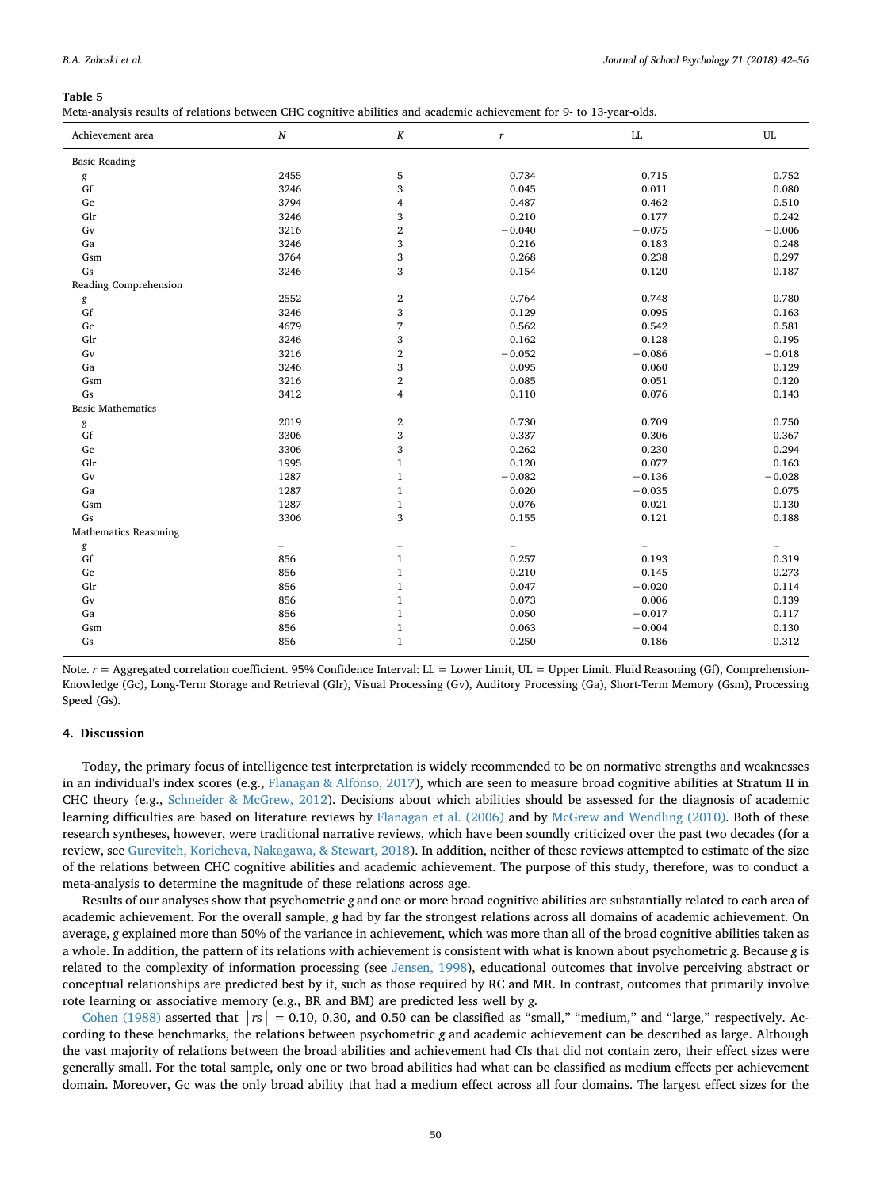<span id="page-8-0"></span>

|  |  | Meta-analysis results of relations between CHC cognitive abilities and academic achievement for 9- to 13-year-olds. |
|--|--|---------------------------------------------------------------------------------------------------------------------|
|--|--|---------------------------------------------------------------------------------------------------------------------|

| Achievement area          | $\boldsymbol{N}$ | $\cal K$                | $\boldsymbol{r}$         | ${\rm LL}$               | UL.      |
|---------------------------|------------------|-------------------------|--------------------------|--------------------------|----------|
| <b>Basic Reading</b>      |                  |                         |                          |                          |          |
| g                         | 2455             | 5                       | 0.734                    | 0.715                    | 0.752    |
| ${\mathbf G} {\mathbf f}$ | 3246             | 3                       | 0.045                    | 0.011                    | 0.080    |
| ${\rm G}{\rm c}$          | 3794             | 4                       | 0.487                    | 0.462                    | 0.510    |
| Glr                       | 3246             | 3                       | 0.210                    | 0.177                    | 0.242    |
| $\mathbf{G}\mathbf{v}$    | 3216             | $\boldsymbol{2}$        | $-0.040$                 | $-0.075$                 | $-0.006$ |
| Ga                        | 3246             | 3                       | 0.216                    | 0.183                    | 0.248    |
| Gsm                       | 3764             | 3                       | 0.268                    | 0.238                    | 0.297    |
| Gs                        | 3246             | 3                       | 0.154                    | 0.120                    | 0.187    |
| Reading Comprehension     |                  |                         |                          |                          |          |
| g                         | 2552             | 2                       | 0.764                    | 0.748                    | 0.780    |
| Gf                        | 3246             | 3                       | 0.129                    | 0.095                    | 0.163    |
| ${\rm G}{\rm c}$          | 4679             | 7                       | 0.562                    | 0.542                    | 0.581    |
| Glr                       | 3246             | 3                       | 0.162                    | 0.128                    | 0.195    |
| Gv                        | 3216             | $\overline{\mathbf{2}}$ | $-0.052$                 | $-0.086$                 | $-0.018$ |
| Ga                        | 3246             | 3                       | 0.095                    | 0.060                    | 0.129    |
| Gsm                       | 3216             | $\boldsymbol{2}$        | 0.085                    | 0.051                    | 0.120    |
| Gs                        | 3412             | 4                       | 0.110                    | 0.076                    | 0.143    |
| <b>Basic Mathematics</b>  |                  |                         |                          |                          |          |
| g                         | 2019             | $\overline{2}$          | 0.730                    | 0.709                    | 0.750    |
| Gf                        | 3306             | 3                       | 0.337                    | 0.306                    | 0.367    |
| Gc                        | 3306             | 3                       | 0.262                    | 0.230                    | 0.294    |
| Glr                       | 1995             | $\mathbf{1}$            | 0.120                    | 0.077                    | 0.163    |
| Gv                        | 1287             | $\mathbf{1}$            | $-0.082$                 | $-0.136$                 | $-0.028$ |
| Ga                        | 1287             | $\mathbf{1}$            | 0.020                    | $-0.035$                 | 0.075    |
| Gsm                       | 1287             | $\mathbf{1}$            | 0.076                    | 0.021                    | 0.130    |
| Gs                        | 3306             | 3                       | 0.155                    | 0.121                    | 0.188    |
| Mathematics Reasoning     |                  |                         |                          |                          |          |
| g                         | -                | L                       | $\overline{\phantom{0}}$ | $\overline{\phantom{0}}$ |          |
| Gf                        | 856              | 1                       | 0.257                    | 0.193                    | 0.319    |
| Gc                        | 856              | $\mathbf{1}$            | 0.210                    | 0.145                    | 0.273    |
| Glr                       | 856              | $\mathbf{1}$            | 0.047                    | $-0.020$                 | 0.114    |
| $\rm\,Gv$                 | 856              | $\mathbf{1}$            | 0.073                    | 0.006                    | 0.139    |
| Ga                        | 856              | $\mathbf{1}$            | 0.050                    | $-0.017$                 | 0.117    |
| Gsm                       | 856              | $\mathbf{1}$            | 0.063                    | $-0.004$                 | 0.130    |
| $\mathbf{G}\mathbf{s}$    | 856              | $\mathbf{1}$            | 0.250                    | 0.186                    | 0.312    |

Note.  $r =$  Aggregated correlation coefficient. 95% Confidence Interval: LL = Lower Limit, UL = Upper Limit. Fluid Reasoning (Gf), Comprehension-Knowledge (Gc), Long-Term Storage and Retrieval (Glr), Visual Processing (Gv), Auditory Processing (Ga), Short-Term Memory (Gsm), Processing Speed (Gs).

# **4. Discussion**

Today, the primary focus of intelligence test interpretation is widely recommended to be on normative strengths and weaknesses in an individual's index scores (e.g., [Flanagan & Alfonso, 2017](#page-13-9)), which are seen to measure broad cognitive abilities at Stratum II in CHC theory (e.g., [Schneider & McGrew, 2012\)](#page-14-8). Decisions about which abilities should be assessed for the diagnosis of academic learning difficulties are based on literature reviews by [Flanagan et al. \(2006\)](#page-13-14) and by [McGrew and Wendling \(2010\)](#page-13-15). Both of these research syntheses, however, were traditional narrative reviews, which have been soundly criticized over the past two decades (for a review, see [Gurevitch, Koricheva, Nakagawa, & Stewart, 2018](#page-13-34)). In addition, neither of these reviews attempted to estimate of the size of the relations between CHC cognitive abilities and academic achievement. The purpose of this study, therefore, was to conduct a meta-analysis to determine the magnitude of these relations across age.

Results of our analyses show that psychometric *g* and one or more broad cognitive abilities are substantially related to each area of academic achievement. For the overall sample, *g* had by far the strongest relations across all domains of academic achievement. On average, *g* explained more than 50% of the variance in achievement, which was more than all of the broad cognitive abilities taken as a whole. In addition, the pattern of its relations with achievement is consistent with what is known about psychometric *g*. Because *g* is related to the complexity of information processing (see [Jensen, 1998\)](#page-13-7), educational outcomes that involve perceiving abstract or conceptual relationships are predicted best by it, such as those required by RC and MR. In contrast, outcomes that primarily involve rote learning or associative memory (e.g., BR and BM) are predicted less well by *g*.

[Cohen \(1988\)](#page-12-14) asserted that  $|\mathbf{r}_s| = 0.10$ , 0.30, and 0.50 can be classified as "small," "medium," and "large," respectively. According to these benchmarks, the relations between psychometric *g* and academic achievement can be described as large. Although the vast majority of relations between the broad abilities and achievement had CIs that did not contain zero, their effect sizes were generally small. For the total sample, only one or two broad abilities had what can be classified as medium effects per achievement domain. Moreover, Gc was the only broad ability that had a medium effect across all four domains. The largest effect sizes for the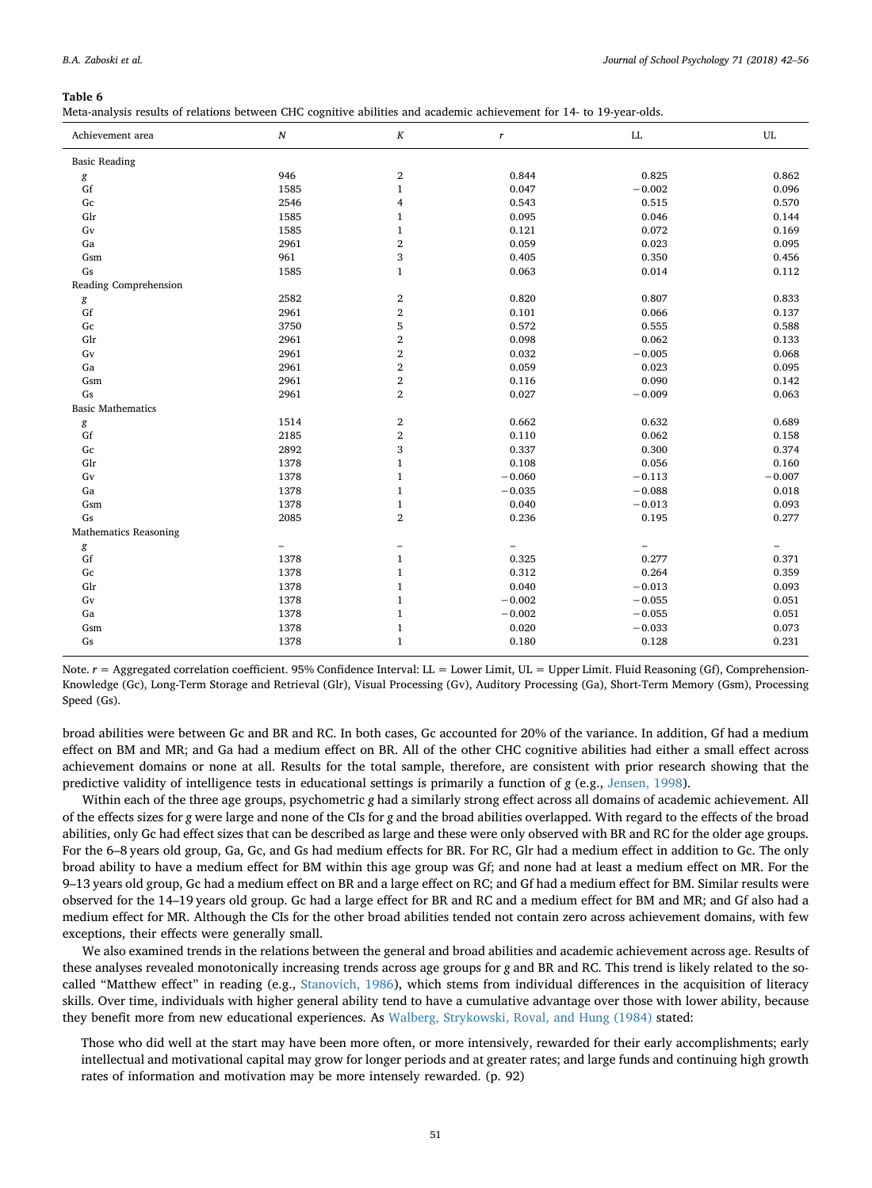<span id="page-9-0"></span>

| Meta-analysis results of relations between CHC cognitive abilities and academic achievement for 14- to 19-year-olds. |  |  |  |
|----------------------------------------------------------------------------------------------------------------------|--|--|--|
|----------------------------------------------------------------------------------------------------------------------|--|--|--|

| Achievement area         | $\boldsymbol{N}$ | $\cal K$                 | $\boldsymbol{r}$         | ${\rm LL}$ | UL.      |
|--------------------------|------------------|--------------------------|--------------------------|------------|----------|
| <b>Basic Reading</b>     |                  |                          |                          |            |          |
| g                        | 946              | 2                        | 0.844                    | 0.825      | 0.862    |
| Gf                       | 1585             | $\mathbf{1}$             | 0.047                    | $-0.002$   | 0.096    |
| Gc                       | 2546             | 4                        | 0.543                    | 0.515      | 0.570    |
| Glr                      | 1585             | $\mathbf{1}$             | 0.095                    | 0.046      | 0.144    |
| Gv                       | 1585             | $\mathbf{1}$             | 0.121                    | 0.072      | 0.169    |
| Ga                       | 2961             | $\overline{2}$           | 0.059                    | 0.023      | 0.095    |
| Gsm                      | 961              | 3                        | 0.405                    | 0.350      | 0.456    |
| Gs                       | 1585             | $\mathbf{1}$             | 0.063                    | 0.014      | 0.112    |
| Reading Comprehension    |                  |                          |                          |            |          |
| g                        | 2582             | $\boldsymbol{2}$         | 0.820                    | 0.807      | 0.833    |
| Gf                       | 2961             | $\boldsymbol{2}$         | 0.101                    | 0.066      | 0.137    |
| ${\rm G}{\rm c}$         | 3750             | 5                        | 0.572                    | 0.555      | 0.588    |
| Glr                      | 2961             | $\overline{\mathbf{2}}$  | 0.098                    | 0.062      | 0.133    |
| Gv                       | 2961             | $\boldsymbol{2}$         | 0.032                    | $-0.005$   | 0.068    |
| Ga                       | 2961             | $\overline{2}$           | 0.059                    | 0.023      | 0.095    |
| Gsm                      | 2961             | $\boldsymbol{2}$         | 0.116                    | 0.090      | 0.142    |
| Gs                       | 2961             | $\overline{2}$           | 0.027                    | $-0.009$   | 0.063    |
| <b>Basic Mathematics</b> |                  |                          |                          |            |          |
| g                        | 1514             | $\boldsymbol{2}$         | 0.662                    | 0.632      | 0.689    |
| Gf                       | 2185             | $\boldsymbol{2}$         | 0.110                    | 0.062      | 0.158    |
| ${\rm G}{\rm c}$         | 2892             | 3                        | 0.337                    | 0.300      | 0.374    |
| Glr                      | 1378             | $\mathbf{1}$             | 0.108                    | 0.056      | 0.160    |
| Gv                       | 1378             | $\mathbf{1}$             | $-0.060$                 | $-0.113$   | $-0.007$ |
| Ga                       | 1378             | $\mathbf{1}$             | $-0.035$                 | $-0.088$   | 0.018    |
| Gsm                      | 1378             | $\mathbf{1}$             | 0.040                    | $-0.013$   | 0.093    |
| Gs                       | 2085             | $\overline{2}$           | 0.236                    | 0.195      | 0.277    |
| Mathematics Reasoning    |                  |                          |                          |            |          |
| g                        | -                | $\overline{\phantom{0}}$ | $\overline{\phantom{0}}$ | -          |          |
| Gf                       | 1378             | 1                        | 0.325                    | 0.277      | 0.371    |
| Gc                       | 1378             | $\mathbf{1}$             | 0.312                    | 0.264      | 0.359    |
| Glr                      | 1378             | $\mathbf{1}$             | 0.040                    | $-0.013$   | 0.093    |
| Gv                       | 1378             | $\mathbf{1}$             | $-0.002$                 | $-0.055$   | 0.051    |
| Ga                       | 1378             | $\mathbf{1}$             | $-0.002$                 | $-0.055$   | 0.051    |
| Gsm                      | 1378             | $\mathbf{1}$             | 0.020                    | $-0.033$   | 0.073    |
| Gs                       | 1378             | $\mathbf{1}$             | 0.180                    | 0.128      | 0.231    |

Note.  $r =$  Aggregated correlation coefficient. 95% Confidence Interval: LL = Lower Limit, UL = Upper Limit. Fluid Reasoning (Gf), Comprehension-Knowledge (Gc), Long-Term Storage and Retrieval (Glr), Visual Processing (Gv), Auditory Processing (Ga), Short-Term Memory (Gsm), Processing Speed (Gs).

broad abilities were between Gc and BR and RC. In both cases, Gc accounted for 20% of the variance. In addition, Gf had a medium effect on BM and MR; and Ga had a medium effect on BR. All of the other CHC cognitive abilities had either a small effect across achievement domains or none at all. Results for the total sample, therefore, are consistent with prior research showing that the predictive validity of intelligence tests in educational settings is primarily a function of *g* (e.g., [Jensen, 1998](#page-13-7)).

Within each of the three age groups, psychometric *g* had a similarly strong effect across all domains of academic achievement. All of the effects sizes for *g* were large and none of the CIs for *g* and the broad abilities overlapped. With regard to the effects of the broad abilities, only Gc had effect sizes that can be described as large and these were only observed with BR and RC for the older age groups. For the 6–8 years old group, Ga, Gc, and Gs had medium effects for BR. For RC, Glr had a medium effect in addition to Gc. The only broad ability to have a medium effect for BM within this age group was Gf; and none had at least a medium effect on MR. For the 9–13 years old group, Gc had a medium effect on BR and a large effect on RC; and Gf had a medium effect for BM. Similar results were observed for the 14–19 years old group. Gc had a large effect for BR and RC and a medium effect for BM and MR; and Gf also had a medium effect for MR. Although the CIs for the other broad abilities tended not contain zero across achievement domains, with few exceptions, their effects were generally small.

We also examined trends in the relations between the general and broad abilities and academic achievement across age. Results of these analyses revealed monotonically increasing trends across age groups for *g* and BR and RC. This trend is likely related to the socalled "Matthew effect" in reading (e.g., [Stanovich, 1986\)](#page-14-20), which stems from individual differences in the acquisition of literacy skills. Over time, individuals with higher general ability tend to have a cumulative advantage over those with lower ability, because they benefit more from new educational experiences. As [Walberg, Strykowski, Roval, and Hung \(1984\)](#page-14-21) stated:

Those who did well at the start may have been more often, or more intensively, rewarded for their early accomplishments; early intellectual and motivational capital may grow for longer periods and at greater rates; and large funds and continuing high growth rates of information and motivation may be more intensely rewarded. (p. 92)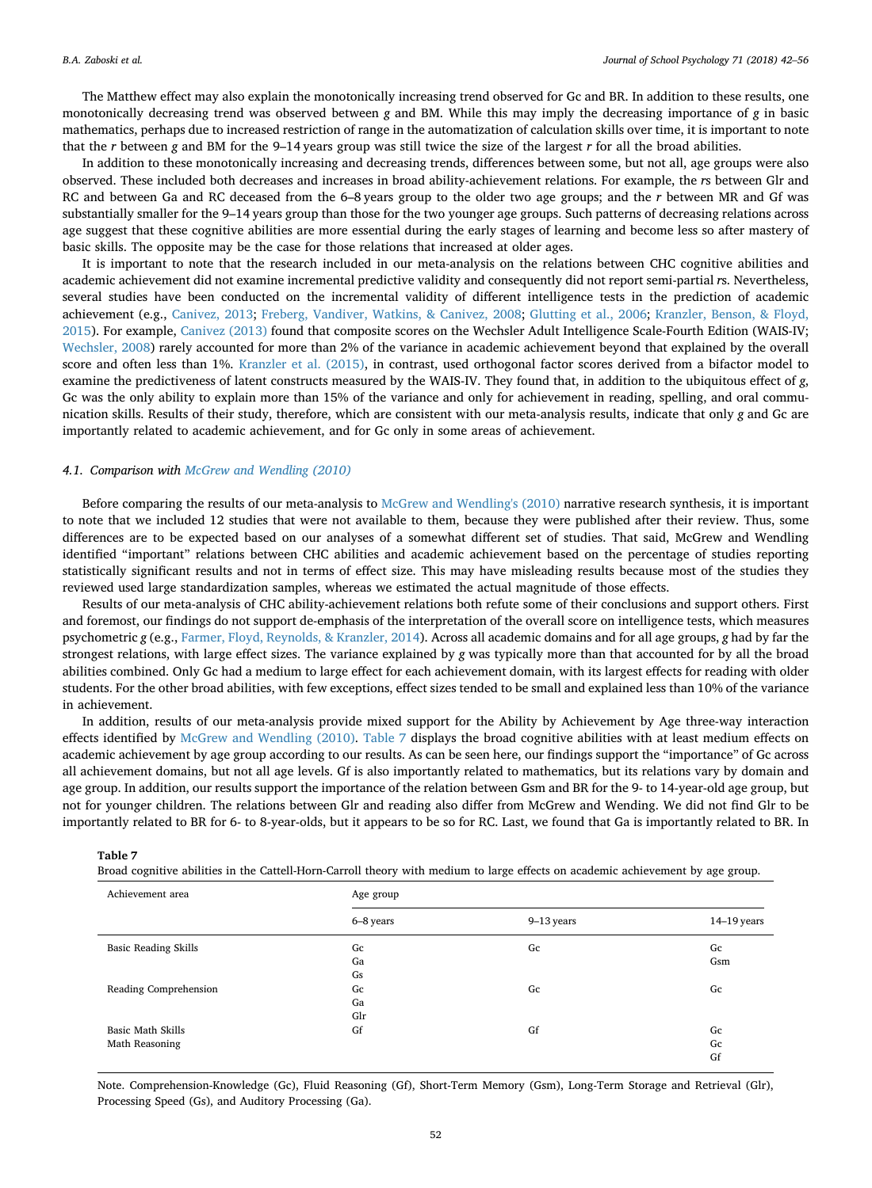The Matthew effect may also explain the monotonically increasing trend observed for Gc and BR. In addition to these results, one monotonically decreasing trend was observed between *g* and BM. While this may imply the decreasing importance of *g* in basic mathematics, perhaps due to increased restriction of range in the automatization of calculation skills over time, it is important to note that the *r* between *g* and BM for the 9–14 years group was still twice the size of the largest *r* for all the broad abilities.

In addition to these monotonically increasing and decreasing trends, differences between some, but not all, age groups were also observed. These included both decreases and increases in broad ability-achievement relations. For example, the *r*s between Glr and RC and between Ga and RC deceased from the 6–8 years group to the older two age groups; and the *r* between MR and Gf was substantially smaller for the 9–14 years group than those for the two younger age groups. Such patterns of decreasing relations across age suggest that these cognitive abilities are more essential during the early stages of learning and become less so after mastery of basic skills. The opposite may be the case for those relations that increased at older ages.

It is important to note that the research included in our meta-analysis on the relations between CHC cognitive abilities and academic achievement did not examine incremental predictive validity and consequently did not report semi-partial *r*s. Nevertheless, several studies have been conducted on the incremental validity of different intelligence tests in the prediction of academic achievement (e.g., [Canivez, 2013](#page-12-23); [Freberg, Vandiver, Watkins, & Canivez, 2008;](#page-13-35) [Glutting et al., 2006](#page-13-3); [Kranzler, Benson, & Floyd,](#page-13-36) [2015\)](#page-13-36). For example, [Canivez \(2013\)](#page-12-23) found that composite scores on the Wechsler Adult Intelligence Scale-Fourth Edition (WAIS-IV; [Wechsler, 2008\)](#page-14-22) rarely accounted for more than 2% of the variance in academic achievement beyond that explained by the overall score and often less than 1%. [Kranzler et al. \(2015\),](#page-13-36) in contrast, used orthogonal factor scores derived from a bifactor model to examine the predictiveness of latent constructs measured by the WAIS-IV. They found that, in addition to the ubiquitous effect of *g*, Gc was the only ability to explain more than 15% of the variance and only for achievement in reading, spelling, and oral communication skills. Results of their study, therefore, which are consistent with our meta-analysis results, indicate that only *g* and Gc are importantly related to academic achievement, and for Gc only in some areas of achievement.

### *4.1. Comparison with [McGrew and Wendling \(2010\)](#page-13-15)*

Before comparing the results of our meta-analysis to [McGrew and Wendling's \(2010\)](#page-13-15) narrative research synthesis, it is important to note that we included 12 studies that were not available to them, because they were published after their review. Thus, some differences are to be expected based on our analyses of a somewhat different set of studies. That said, McGrew and Wendling identified "important" relations between CHC abilities and academic achievement based on the percentage of studies reporting statistically significant results and not in terms of effect size. This may have misleading results because most of the studies they reviewed used large standardization samples, whereas we estimated the actual magnitude of those effects.

Results of our meta-analysis of CHC ability-achievement relations both refute some of their conclusions and support others. First and foremost, our findings do not support de-emphasis of the interpretation of the overall score on intelligence tests, which measures psychometric *g* (e.g., [Farmer, Floyd, Reynolds, & Kranzler, 2014](#page-12-24)). Across all academic domains and for all age groups, *g* had by far the strongest relations, with large effect sizes. The variance explained by *g* was typically more than that accounted for by all the broad abilities combined. Only Gc had a medium to large effect for each achievement domain, with its largest effects for reading with older students. For the other broad abilities, with few exceptions, effect sizes tended to be small and explained less than 10% of the variance in achievement.

In addition, results of our meta-analysis provide mixed support for the Ability by Achievement by Age three-way interaction effects identified by [McGrew and Wendling \(2010\).](#page-13-15) [Table 7](#page-10-0) displays the broad cognitive abilities with at least medium effects on academic achievement by age group according to our results. As can be seen here, our findings support the "importance" of Gc across all achievement domains, but not all age levels. Gf is also importantly related to mathematics, but its relations vary by domain and age group. In addition, our results support the importance of the relation between Gsm and BR for the 9- to 14-year-old age group, but not for younger children. The relations between Glr and reading also differ from McGrew and Wending. We did not find Glr to be importantly related to BR for 6- to 8-year-olds, but it appears to be so for RC. Last, we found that Ga is importantly related to BR. In

| Achievement area            | Age group |            |               |
|-----------------------------|-----------|------------|---------------|
|                             | 6-8 years | 9-13 years | $14-19$ years |
| <b>Basic Reading Skills</b> | Gc        | Gc         | Gc            |
|                             | Ga        |            | Gsm           |
|                             | Gs        |            |               |
| Reading Comprehension       | Gc        | Gc         | Gc            |
|                             | Ga        |            |               |
|                             | Glr       |            |               |
| Basic Math Skills           | Gf        | Gf         | Gc            |
| Math Reasoning              |           |            | Gc            |
|                             |           |            | Gf            |

<span id="page-10-0"></span>**Table 7**

Broad cognitive abilities in the Cattell-Horn-Carroll theory with medium to large effects on academic achievement by age group.

Note. Comprehension-Knowledge (Gc), Fluid Reasoning (Gf), Short-Term Memory (Gsm), Long-Term Storage and Retrieval (Glr), Processing Speed (Gs), and Auditory Processing (Ga).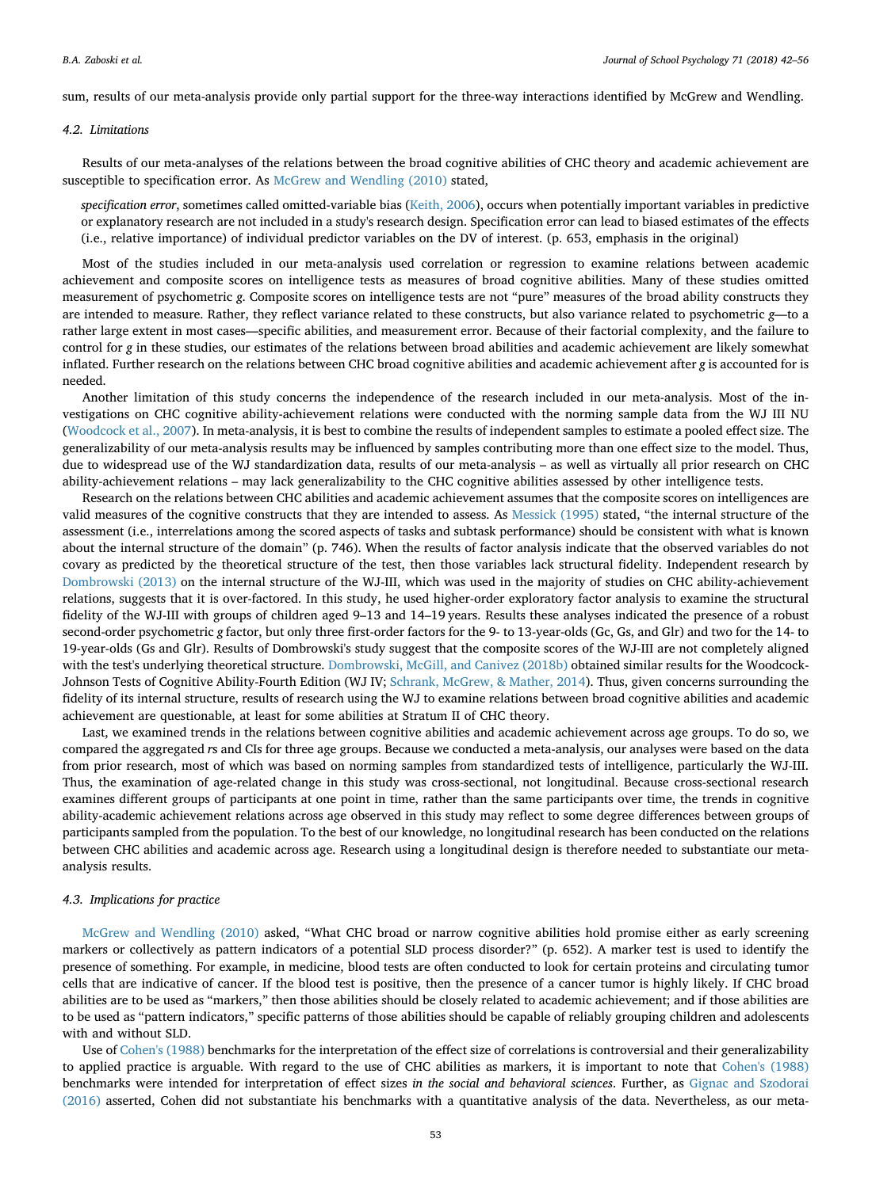sum, results of our meta-analysis provide only partial support for the three-way interactions identified by McGrew and Wendling.

#### *4.2. Limitations*

Results of our meta-analyses of the relations between the broad cognitive abilities of CHC theory and academic achievement are susceptible to specification error. As [McGrew and Wendling \(2010\)](#page-13-15) stated,

*specification error*, sometimes called omitted-variable bias [\(Keith, 2006\)](#page-13-37), occurs when potentially important variables in predictive or explanatory research are not included in a study's research design. Specification error can lead to biased estimates of the effects (i.e., relative importance) of individual predictor variables on the DV of interest. (p. 653, emphasis in the original)

Most of the studies included in our meta-analysis used correlation or regression to examine relations between academic achievement and composite scores on intelligence tests as measures of broad cognitive abilities. Many of these studies omitted measurement of psychometric *g*. Composite scores on intelligence tests are not "pure" measures of the broad ability constructs they are intended to measure. Rather, they reflect variance related to these constructs, but also variance related to psychometric *g*—to a rather large extent in most cases—specific abilities, and measurement error. Because of their factorial complexity, and the failure to control for *g* in these studies, our estimates of the relations between broad abilities and academic achievement are likely somewhat inflated. Further research on the relations between CHC broad cognitive abilities and academic achievement after *g* is accounted for is needed.

Another limitation of this study concerns the independence of the research included in our meta-analysis. Most of the investigations on CHC cognitive ability-achievement relations were conducted with the norming sample data from the WJ III NU [\(Woodcock et al., 2007\)](#page-14-13). In meta-analysis, it is best to combine the results of independent samples to estimate a pooled effect size. The generalizability of our meta-analysis results may be influenced by samples contributing more than one effect size to the model. Thus, due to widespread use of the WJ standardization data, results of our meta-analysis – as well as virtually all prior research on CHC ability-achievement relations – may lack generalizability to the CHC cognitive abilities assessed by other intelligence tests.

Research on the relations between CHC abilities and academic achievement assumes that the composite scores on intelligences are valid measures of the cognitive constructs that they are intended to assess. As [Messick \(1995\)](#page-13-38) stated, "the internal structure of the assessment (i.e., interrelations among the scored aspects of tasks and subtask performance) should be consistent with what is known about the internal structure of the domain" (p. 746). When the results of factor analysis indicate that the observed variables do not covary as predicted by the theoretical structure of the test, then those variables lack structural fidelity. Independent research by [Dombrowski \(2013\)](#page-12-25) on the internal structure of the WJ-III, which was used in the majority of studies on CHC ability-achievement relations, suggests that it is over-factored. In this study, he used higher-order exploratory factor analysis to examine the structural fidelity of the WJ-III with groups of children aged 9–13 and 14–19 years. Results these analyses indicated the presence of a robust second-order psychometric *g* factor, but only three first-order factors for the 9- to 13-year-olds (Gc, Gs, and Glr) and two for the 14- to 19-year-olds (Gs and Glr). Results of Dombrowski's study suggest that the composite scores of the WJ-III are not completely aligned with the test's underlying theoretical structure. [Dombrowski, McGill, and Canivez \(2018b\)](#page-12-26) obtained similar results for the Woodcock-Johnson Tests of Cognitive Ability-Fourth Edition (WJ IV; [Schrank, McGrew, & Mather, 2014\)](#page-14-23). Thus, given concerns surrounding the fidelity of its internal structure, results of research using the WJ to examine relations between broad cognitive abilities and academic achievement are questionable, at least for some abilities at Stratum II of CHC theory.

Last, we examined trends in the relations between cognitive abilities and academic achievement across age groups. To do so, we compared the aggregated *r*s and CIs for three age groups. Because we conducted a meta-analysis, our analyses were based on the data from prior research, most of which was based on norming samples from standardized tests of intelligence, particularly the WJ-III. Thus, the examination of age-related change in this study was cross-sectional, not longitudinal. Because cross-sectional research examines different groups of participants at one point in time, rather than the same participants over time, the trends in cognitive ability-academic achievement relations across age observed in this study may reflect to some degree differences between groups of participants sampled from the population. To the best of our knowledge, no longitudinal research has been conducted on the relations between CHC abilities and academic across age. Research using a longitudinal design is therefore needed to substantiate our metaanalysis results.

### *4.3. Implications for practice*

[McGrew and Wendling \(2010\)](#page-13-15) asked, "What CHC broad or narrow cognitive abilities hold promise either as early screening markers or collectively as pattern indicators of a potential SLD process disorder?" (p. 652). A marker test is used to identify the presence of something. For example, in medicine, blood tests are often conducted to look for certain proteins and circulating tumor cells that are indicative of cancer. If the blood test is positive, then the presence of a cancer tumor is highly likely. If CHC broad abilities are to be used as "markers," then those abilities should be closely related to academic achievement; and if those abilities are to be used as "pattern indicators," specific patterns of those abilities should be capable of reliably grouping children and adolescents with and without SLD.

Use of [Cohen's \(1988\)](#page-12-14) benchmarks for the interpretation of the effect size of correlations is controversial and their generalizability to applied practice is arguable. With regard to the use of CHC abilities as markers, it is important to note that [Cohen's \(1988\)](#page-12-14) benchmarks were intended for interpretation of effect sizes *in the social and behavioral sciences*. Further, as [Gignac and Szodorai](#page-13-39) [\(2016\)](#page-13-39) asserted, Cohen did not substantiate his benchmarks with a quantitative analysis of the data. Nevertheless, as our meta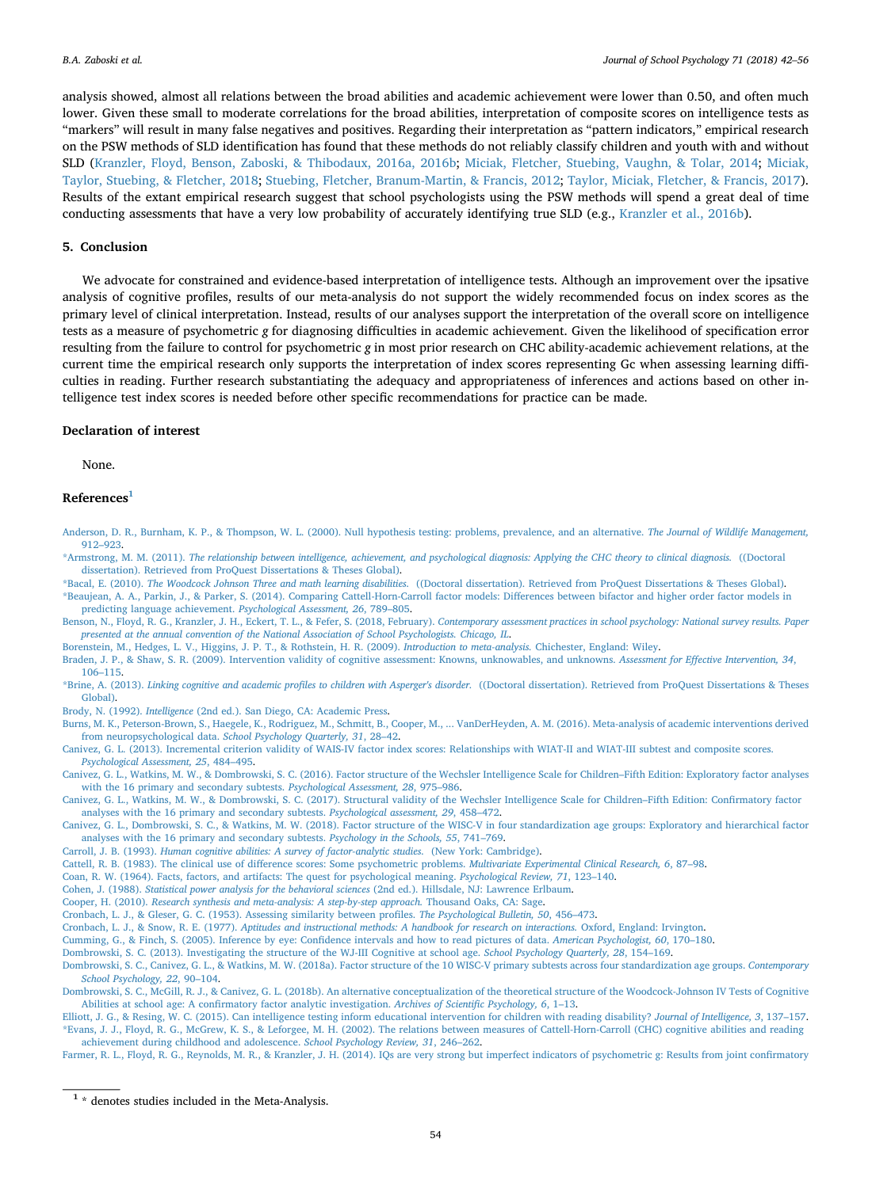analysis showed, almost all relations between the broad abilities and academic achievement were lower than 0.50, and often much lower. Given these small to moderate correlations for the broad abilities, interpretation of composite scores on intelligence tests as "markers" will result in many false negatives and positives. Regarding their interpretation as "pattern indicators," empirical research on the PSW methods of SLD identification has found that these methods do not reliably classify children and youth with and without SLD [\(Kranzler, Floyd, Benson, Zaboski, & Thibodaux, 2016a, 2016b;](#page-13-40) [Miciak, Fletcher, Stuebing, Vaughn, & Tolar, 2014;](#page-13-41) [Miciak,](#page-13-42) [Taylor, Stuebing, & Fletcher, 2018](#page-13-42); [Stuebing, Fletcher, Branum-Martin, & Francis, 2012;](#page-14-24) [Taylor, Miciak, Fletcher, & Francis, 2017](#page-14-25)). Results of the extant empirical research suggest that school psychologists using the PSW methods will spend a great deal of time conducting assessments that have a very low probability of accurately identifying true SLD (e.g., [Kranzler et al., 2016b\)](#page-13-43).

#### **5. Conclusion**

We advocate for constrained and evidence-based interpretation of intelligence tests. Although an improvement over the ipsative analysis of cognitive profiles, results of our meta-analysis do not support the widely recommended focus on index scores as the primary level of clinical interpretation. Instead, results of our analyses support the interpretation of the overall score on intelligence tests as a measure of psychometric *g* for diagnosing difficulties in academic achievement. Given the likelihood of specification error resulting from the failure to control for psychometric *g* in most prior research on CHC ability-academic achievement relations, at the current time the empirical research only supports the interpretation of index scores representing Gc when assessing learning difficulties in reading. Further research substantiating the adequacy and appropriateness of inferences and actions based on other intelligence test index scores is needed before other specific recommendations for practice can be made.

#### **Declaration of interest**

None.

#### **Reference[s1](#page-12-27)**

<span id="page-12-15"></span>[Anderson, D. R., Burnham, K. P., & Thompson, W. L. \(2000\). Null hypothesis testing: problems, prevalence, and an alternative.](http://refhub.elsevier.com/S0022-4405(18)30103-1/rf0005) *The Journal of Wildlife Management,* [912–923.](http://refhub.elsevier.com/S0022-4405(18)30103-1/rf0005)

<span id="page-12-16"></span>\*Armstrong, M. M. (2011). *[The relationship between intelligence, achievement, and psychological diagnosis: Applying the CHC theory to clinical diagnosis.](http://refhub.elsevier.com/S0022-4405(18)30103-1/rf0010)* ((Doctoral [dissertation\). Retrieved from ProQuest Dissertations & Theses Global\).](http://refhub.elsevier.com/S0022-4405(18)30103-1/rf0010)

<span id="page-12-18"></span><span id="page-12-17"></span>\*Bacal, E. (2010). *The Woodcock Johnson Three and math learning disabilities.* [\(\(Doctoral dissertation\). Retrieved from ProQuest Dissertations & Theses Global\).](http://refhub.elsevier.com/S0022-4405(18)30103-1/rf0015) [\\*Beaujean, A. A., Parkin, J., & Parker, S. \(2014\). Comparing Cattell-Horn-Carroll factor models: Differences between bifactor and higher order factor models in](http://refhub.elsevier.com/S0022-4405(18)30103-1/rf0020) [predicting language achievement.](http://refhub.elsevier.com/S0022-4405(18)30103-1/rf0020) *Psychological Assessment, 26*, 789–805.

<span id="page-12-9"></span>[Benson, N., Floyd, R. G., Kranzler, J. H., Eckert, T. L., & Fefer, S. \(2018, February\).](http://refhub.elsevier.com/S0022-4405(18)30103-1/rf0025) *Contemporary assessment practices in school psychology: National survey results. Paper [presented at the annual convention of the National Association of School Psychologists. Chicago, IL](http://refhub.elsevier.com/S0022-4405(18)30103-1/rf0025)*.

<span id="page-12-21"></span>[Borenstein, M., Hedges, L. V., Higgins, J. P. T., & Rothstein, H. R. \(2009\).](http://refhub.elsevier.com/S0022-4405(18)30103-1/rf0030) *Introduction to meta-analysis.* Chichester, England: Wiley.

<span id="page-12-2"></span>[Braden, J. P., & Shaw, S. R. \(2009\). Intervention validity of cognitive assessment: Knowns, unknowables, and unknowns.](http://refhub.elsevier.com/S0022-4405(18)30103-1/rf0035) *Assessment for Effective Intervention, 34*, [106–115.](http://refhub.elsevier.com/S0022-4405(18)30103-1/rf0035)

<span id="page-12-19"></span>\*Brine, A. (2013). *Linking cognitive and academic profiles to children with Asperger's disorder.* [\(\(Doctoral dissertation\). Retrieved from ProQuest Dissertations & Theses](http://refhub.elsevier.com/S0022-4405(18)30103-1/rf0040) [Global\).](http://refhub.elsevier.com/S0022-4405(18)30103-1/rf0040)

<span id="page-12-6"></span>Brody, N. (1992). *Intelligence* [\(2nd ed.\). San Diego, CA: Academic Press.](http://refhub.elsevier.com/S0022-4405(18)30103-1/rf0045)

<span id="page-12-3"></span>[Burns, M. K., Peterson-Brown, S., Haegele, K., Rodriguez, M., Schmitt, B., Cooper, M., ... VanDerHeyden, A. M. \(2016\). Meta-analysis of academic interventions derived](http://refhub.elsevier.com/S0022-4405(18)30103-1/rf0050) from neuropsychological data. *[School Psychology Quarterly, 31](http://refhub.elsevier.com/S0022-4405(18)30103-1/rf0050)*, 28–42.

<span id="page-12-23"></span>[Canivez, G. L. \(2013\). Incremental criterion validity of WAIS-IV factor index scores: Relationships with WIAT-II and WIAT-III subtest and composite scores.](http://refhub.elsevier.com/S0022-4405(18)30103-1/rf0055) *[Psychological Assessment, 25](http://refhub.elsevier.com/S0022-4405(18)30103-1/rf0055)*, 484–495.

<span id="page-12-11"></span>[Canivez, G. L., Watkins, M. W., & Dombrowski, S. C. \(2016\). Factor structure of the Wechsler Intelligence Scale for Children–Fifth Edition: Exploratory factor analyses](http://refhub.elsevier.com/S0022-4405(18)30103-1/rf2010) [with the 16 primary and secondary subtests.](http://refhub.elsevier.com/S0022-4405(18)30103-1/rf2010) *Psychological Assessment, 28*, 975–986.

[Canivez, G. L., Watkins, M. W., & Dombrowski, S. C. \(2017\). Structural validity of the Wechsler Intelligence Scale for Children–Fifth Edition: Confirmatory factor](http://refhub.elsevier.com/S0022-4405(18)30103-1/rf2015) [analyses with the 16 primary and secondary subtests.](http://refhub.elsevier.com/S0022-4405(18)30103-1/rf2015) *Psychological assessment, 29*, 458–472.

<span id="page-12-10"></span>Canivez, G. L., Dombrowski, S. C., & Watkins, M. W. (2018). Factor structure of the WISC-V in four standardization age groups: Exploratory and hierarchical factor [analyses with the 16 primary and secondary subtests.](http://refhub.elsevier.com/S0022-4405(18)30103-1/rf2005) *Psychology in the Schools, 55*, 741–769.

<span id="page-12-7"></span>Carroll, J. B. (1993). *[Human cognitive abilities: A survey of factor-analytic studies.](http://refhub.elsevier.com/S0022-4405(18)30103-1/rf0060)* (New York: Cambridge).

<span id="page-12-1"></span>[Cattell, R. B. \(1983\). The clinical use of difference scores: Some psychometric problems.](http://refhub.elsevier.com/S0022-4405(18)30103-1/rf0065) *Multivariate Experimental Clinical Research, 6*, 87–98.

<span id="page-12-8"></span>[Coan, R. W. \(1964\). Facts, factors, and artifacts: The quest for psychological meaning.](http://refhub.elsevier.com/S0022-4405(18)30103-1/rf0070) *Psychological Review, 71*, 123–140.

<span id="page-12-14"></span>Cohen, J. (1988). *[Statistical power analysis for the behavioral sciences](http://refhub.elsevier.com/S0022-4405(18)30103-1/rf0075)* (2nd ed.). Hillsdale, NJ: Lawrence Erlbaum.

<span id="page-12-13"></span>Cooper, H. (2010). *[Research synthesis and meta-analysis: A step-by-step approach.](http://refhub.elsevier.com/S0022-4405(18)30103-1/rf0080)* Thousand Oaks, CA: Sage.

<span id="page-12-0"></span>[Cronbach, L. J., & Gleser, G. C. \(1953\). Assessing similarity between profiles.](http://refhub.elsevier.com/S0022-4405(18)30103-1/rf0085) *The Psychological Bulletin, 50*, 456–473.

<span id="page-12-4"></span>Cronbach, L. J., & Snow, R. E. (1977). *[Aptitudes and instructional methods: A handbook for research on interactions.](http://refhub.elsevier.com/S0022-4405(18)30103-1/rf0090)* Oxford, England: Irvington.

<span id="page-12-22"></span>[Cumming, G., & Finch, S. \(2005\). Inference by eye: Confidence intervals and how to read pictures of data.](http://refhub.elsevier.com/S0022-4405(18)30103-1/rf0095) *American Psychologist, 60*, 170–180.

<span id="page-12-25"></span>[Dombrowski, S. C. \(2013\). Investigating the structure of the WJ-III Cognitive at school age.](http://refhub.elsevier.com/S0022-4405(18)30103-1/rf0100) *School Psychology Quarterly, 28*, 154–169.

<span id="page-12-12"></span>[Dombrowski, S. C., Canivez, G. L., & Watkins, M. W. \(2018a\). Factor structure of the 10 WISC-V primary subtests across four standardization age groups.](http://refhub.elsevier.com/S0022-4405(18)30103-1/rf0105) *Contemporary [School Psychology, 22](http://refhub.elsevier.com/S0022-4405(18)30103-1/rf0105)*, 90–104.

<span id="page-12-26"></span>[Dombrowski, S. C., McGill, R. J., & Canivez, G. L. \(2018b\). An alternative conceptualization of the theoretical structure of the Woodcock-Johnson IV Tests of Cognitive](http://refhub.elsevier.com/S0022-4405(18)30103-1/rf0110) [Abilities at school age: A confirmatory factor analytic investigation.](http://refhub.elsevier.com/S0022-4405(18)30103-1/rf0110) *Archives of Scientific Psychology, 6*, 1–13.

<span id="page-12-24"></span>[Farmer, R. L., Floyd, R. G., Reynolds, M. R., & Kranzler, J. H. \(2014\). IQs are very strong but imperfect indicators of psychometric g: Results from joint confirmatory](http://refhub.elsevier.com/S0022-4405(18)30103-1/rf0125)

<span id="page-12-20"></span><span id="page-12-5"></span>[Elliott, J. G., & Resing, W. C. \(2015\). Can intelligence testing inform educational intervention for children with reading disability?](http://refhub.elsevier.com/S0022-4405(18)30103-1/rf0115) *Journal of Intelligence, 3*, 137–157. [\\*Evans, J. J., Floyd, R. G., McGrew, K. S., & Leforgee, M. H. \(2002\). The relations between measures of Cattell-Horn-Carroll \(CHC\) cognitive abilities and reading](http://refhub.elsevier.com/S0022-4405(18)30103-1/rf0120) [achievement during childhood and adolescence.](http://refhub.elsevier.com/S0022-4405(18)30103-1/rf0120) *School Psychology Review, 31*, 246–262.

<span id="page-12-27"></span> $^{\rm 1}$   $^{\star}$  denotes studies included in the Meta-Analysis.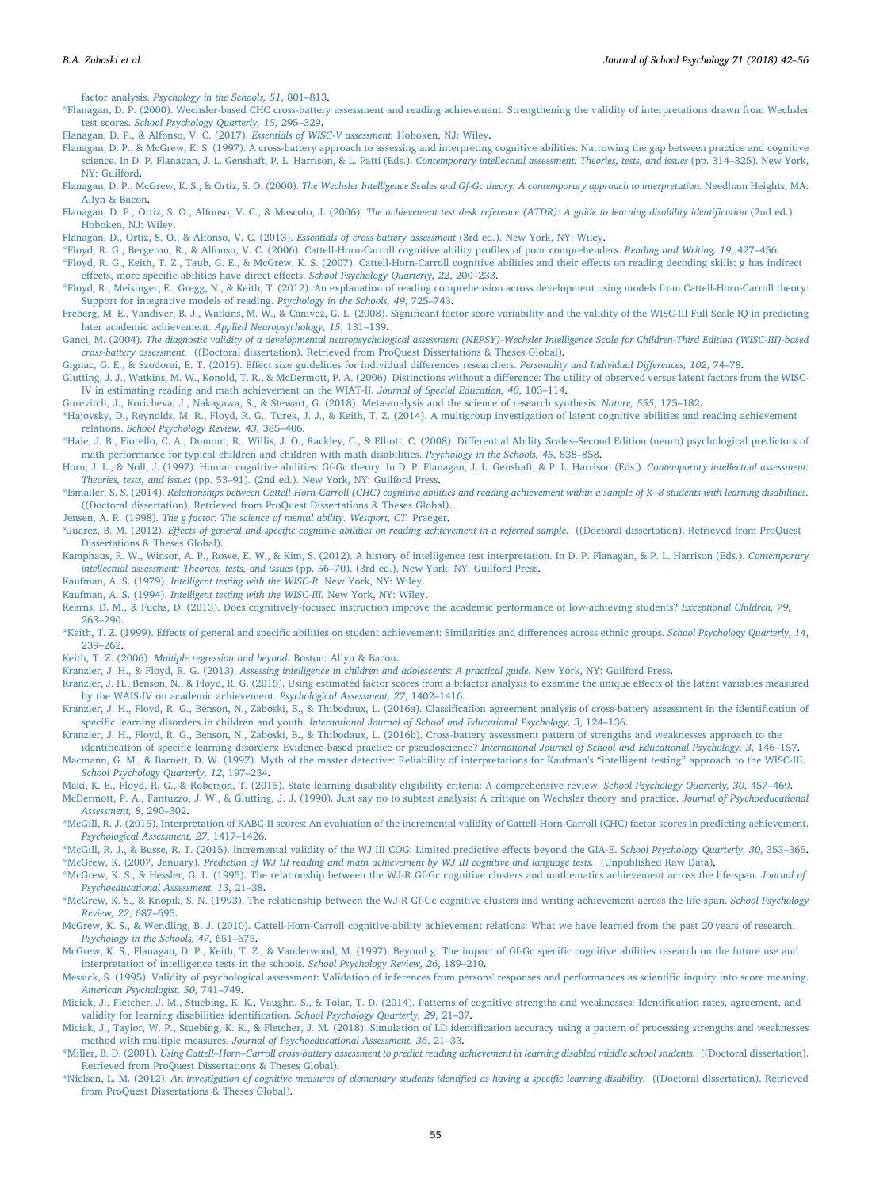factor analysis. *[Psychology in the Schools, 51](http://refhub.elsevier.com/S0022-4405(18)30103-1/rf0125)*, 801–813.

<span id="page-13-17"></span>[\\*Flanagan, D. P. \(2000\). Wechsler-based CHC cross-battery assessment and reading achievement: Strengthening the validity of interpretations drawn from Wechsler](http://refhub.elsevier.com/S0022-4405(18)30103-1/rf0130) test scores. *[School Psychology Quarterly, 15](http://refhub.elsevier.com/S0022-4405(18)30103-1/rf0130)*, 295–329.

<span id="page-13-9"></span>[Flanagan, D. P., & Alfonso, V. C. \(2017\).](http://refhub.elsevier.com/S0022-4405(18)30103-1/rf0135) *Essentials of WISC-V assessment.* Hoboken, NJ: Wiley.

<span id="page-13-11"></span>[Flanagan, D. P., & McGrew, K. S. \(1997\). A cross-battery approach to assessing and interpreting cognitive abilities: Narrowing the gap between practice and cognitive](http://refhub.elsevier.com/S0022-4405(18)30103-1/rf0140) [science. In D. P. Flanagan, J. L. Genshaft, P. L. Harrison, & L. Patti \(Eds.\).](http://refhub.elsevier.com/S0022-4405(18)30103-1/rf0140) *Contemporary intellectual assessment: Theories, tests, and issues* (pp. 314–325). New York, [NY: Guilford.](http://refhub.elsevier.com/S0022-4405(18)30103-1/rf0140)

<span id="page-13-12"></span>Flanagan, D. P., McGrew, K. S., & Ortiz, S. O. (2000). *[The Wechsler Intelligence Scales and Gf-Gc theory: A contemporary approach to interpretation.](http://refhub.elsevier.com/S0022-4405(18)30103-1/rf0145)* Needham Heights, MA: [Allyn & Bacon.](http://refhub.elsevier.com/S0022-4405(18)30103-1/rf0145)

<span id="page-13-14"></span>Flanagan, D. P., Ortiz, S. O., Alfonso, V. C., & Mascolo, J. (2006). *[The achievement test desk reference \(ATDR\): A guide to learning disability identification](http://refhub.elsevier.com/S0022-4405(18)30103-1/rf0150)* (2nd ed.). [Hoboken, NJ: Wiley](http://refhub.elsevier.com/S0022-4405(18)30103-1/rf0150).

<span id="page-13-8"></span>[Flanagan, D., Ortiz, S. O., & Alfonso, V. C. \(2013\).](http://refhub.elsevier.com/S0022-4405(18)30103-1/rf0155) *Essentials of cross-battery assessment* (3rd ed.). New York, NY: Wiley.

<span id="page-13-18"></span>[\\*Floyd, R. G., Bergeron, R., & Alfonso, V. C. \(2006\). Cattell-Horn-Carroll cognitive ability profiles of poor comprehenders.](http://refhub.elsevier.com/S0022-4405(18)30103-1/rf0160) *Reading and Writing, 19*, 427–456.

<span id="page-13-19"></span>[\\*Floyd, R. G., Keith, T. Z., Taub, G. E., & McGrew, K. S. \(2007\). Cattell-Horn-Carroll cognitive abilities and their effects on reading decoding skills: g has indirect](http://refhub.elsevier.com/S0022-4405(18)30103-1/rf0165) [effects, more specific abilities have direct effects.](http://refhub.elsevier.com/S0022-4405(18)30103-1/rf0165) *School Psychology Quarterly, 22*, 200–233.

- <span id="page-13-20"></span>[\\*Floyd, R., Meisinger, E., Gregg, N., & Keith, T. \(2012\). An explanation of reading comprehension across development using models from Cattell-Horn-Carroll theory:](http://refhub.elsevier.com/S0022-4405(18)30103-1/rf0170) [Support for integrative models of reading.](http://refhub.elsevier.com/S0022-4405(18)30103-1/rf0170) *Psychology in the Schools, 49*, 725–743.
- <span id="page-13-35"></span>[Freberg, M. E., Vandiver, B. J., Watkins, M. W., & Canivez, G. L. \(2008\). Significant factor score variability and the validity of the WISC-III Full Scale IQ in predicting](http://refhub.elsevier.com/S0022-4405(18)30103-1/rf0175) [later academic achievement.](http://refhub.elsevier.com/S0022-4405(18)30103-1/rf0175) *Applied Neuropsychology, 15*, 131–139.
- <span id="page-13-32"></span>Ganci, M. (2004). *[The diagnostic validity of a developmental neuropsychological assessment \(NEPSY\)-Wechsler Intelligence Scale for Children-Third Edition \(WISC-III\)-based](http://refhub.elsevier.com/S0022-4405(18)30103-1/rf0180) cross-battery assessment.* [\(\(Doctoral dissertation\). Retrieved from ProQuest Dissertations & Theses Global\).](http://refhub.elsevier.com/S0022-4405(18)30103-1/rf0180)

<span id="page-13-39"></span>[Gignac, G. E., & Szodorai, E. T. \(2016\). Effect size guidelines for individual differences researchers.](http://refhub.elsevier.com/S0022-4405(18)30103-1/rf0185) *Personality and Individual Differences, 102*, 74–78.

<span id="page-13-3"></span>[Glutting, J. J., Watkins, M. W., Konold, T. R., & McDermott, P. A. \(2006\). Distinctions without a difference: The utility of observed versus latent factors from the WISC-](http://refhub.elsevier.com/S0022-4405(18)30103-1/rf0190)[IV in estimating reading and math achievement on the WIAT-II.](http://refhub.elsevier.com/S0022-4405(18)30103-1/rf0190) *Journal of Special Education, 40*, 103–114.

<span id="page-13-34"></span>[Gurevitch, J., Koricheva, J., Nakagawa, S., & Stewart, G. \(2018\). Meta-analysis and the science of research synthesis.](http://refhub.elsevier.com/S0022-4405(18)30103-1/rf0195) *Nature, 555*, 175–182.

- <span id="page-13-21"></span>[\\*Hajovsky, D., Reynolds, M. R., Floyd, R. G., Turek, J. J., & Keith, T. Z. \(2014\). A multigroup investigation of latent cognitive abilities and reading achievement](http://refhub.elsevier.com/S0022-4405(18)30103-1/rf0200) relations. *[School Psychology Review, 43](http://refhub.elsevier.com/S0022-4405(18)30103-1/rf0200)*, 385–406.
- <span id="page-13-22"></span>[\\*Hale, J. B., Fiorello, C. A., Dumont, R., Willis, J. O., Rackley, C., & Elliott, C. \(2008\). Differential Ability Scales–Second Edition \(neuro\) psychological predictors of](http://refhub.elsevier.com/S0022-4405(18)30103-1/rf0205) [math performance for typical children and children with math disabilities.](http://refhub.elsevier.com/S0022-4405(18)30103-1/rf0205) *Psychology in the Schools, 45*, 838–858.
- <span id="page-13-6"></span>[Horn, J. L., & Noll, J. \(1997\). Human cognitive abilities: Gf-Gc theory. In D. P. Flanagan, J. L. Genshaft, & P. L. Harrison \(Eds.\).](http://refhub.elsevier.com/S0022-4405(18)30103-1/rf0210) *Contemporary intellectual assessment: Theories, tests, and issues* [\(pp. 53–91\). \(2nd ed.\). New York, NY: Guilford Press.](http://refhub.elsevier.com/S0022-4405(18)30103-1/rf0210)
- <span id="page-13-23"></span>\*Ismailer, S. S. (2014). *[Relationships between Cattell-Horn-Carroll \(CHC\) cognitive abilities and reading achievement within a sample of K–8 students with learning disabilities.](http://refhub.elsevier.com/S0022-4405(18)30103-1/rf0220)* [\(\(Doctoral dissertation\). Retrieved from ProQuest Dissertations & Theses Global\).](http://refhub.elsevier.com/S0022-4405(18)30103-1/rf0220)

<span id="page-13-7"></span>Jensen, A. R. (1998). *[The g factor: The science of mental ability. Westport, CT.](http://refhub.elsevier.com/S0022-4405(18)30103-1/rf0225)* Praeger.

- <span id="page-13-24"></span>\*Juarez, B. M. (2012). *[Effects of general and specific cognitive abilities on reading achievement in a referred sample.](http://refhub.elsevier.com/S0022-4405(18)30103-1/rf0230)* ((Doctoral dissertation). Retrieved from ProQuest [Dissertations & Theses Global\).](http://refhub.elsevier.com/S0022-4405(18)30103-1/rf0230)
- <span id="page-13-0"></span>[Kamphaus, R. W., Winsor, A. P., Rowe, E. W., & Kim, S. \(2012\). A history of intelligence test interpretation. In D. P. Flanagan, & P. L. Harrison \(Eds.\).](http://refhub.elsevier.com/S0022-4405(18)30103-1/rf0235) *Contemporary intellectual assessment: Theories, tests, and issues* [\(pp. 56–70\). \(3rd ed.\). New York, NY: Guilford Press.](http://refhub.elsevier.com/S0022-4405(18)30103-1/rf0235)
- <span id="page-13-1"></span>Kaufman, A. S. (1979). *[Intelligent testing with the WISC-R.](http://refhub.elsevier.com/S0022-4405(18)30103-1/rf0240)* New York, NY: Wiley.
- Kaufman, A. S. (1994). *[Intelligent testing with the WISC-III.](http://refhub.elsevier.com/S0022-4405(18)30103-1/rf0245)* New York, NY: Wiley.
- <span id="page-13-2"></span>[Kearns, D. M., & Fuchs, D. \(2013\). Does cognitively-focused instruction improve the academic performance of low-achieving students?](http://refhub.elsevier.com/S0022-4405(18)30103-1/rf0250) *Exceptional Children, 79*, [263–290.](http://refhub.elsevier.com/S0022-4405(18)30103-1/rf0250)
- <span id="page-13-25"></span>[\\*Keith, T. Z. \(1999\). Effects of general and specific abilities on student achievement: Similarities and differences across ethnic groups.](http://refhub.elsevier.com/S0022-4405(18)30103-1/rf0255) *School Psychology Quarterly, 14*, [239–262.](http://refhub.elsevier.com/S0022-4405(18)30103-1/rf0255)
- <span id="page-13-37"></span>Keith, T. Z. (2006). *[Multiple regression and beyond.](http://refhub.elsevier.com/S0022-4405(18)30103-1/rf0260)* Boston: Allyn & Bacon.
- <span id="page-13-10"></span>Kranzler, J. H., & Floyd, R. G. (2013). *[Assessing intelligence in children and adolescents: A practical guide.](http://refhub.elsevier.com/S0022-4405(18)30103-1/rf0265)* New York, NY: Guilford Press.
- <span id="page-13-36"></span>[Kranzler, J. H., Benson, N., & Floyd, R. G. \(2015\). Using estimated factor scores from a bifactor analysis to examine the unique effects of the latent variables measured](http://refhub.elsevier.com/S0022-4405(18)30103-1/rf0270) [by the WAIS-IV on academic achievement.](http://refhub.elsevier.com/S0022-4405(18)30103-1/rf0270) *Psychological Assessment, 27*, 1402–1416.
- <span id="page-13-40"></span>[Kranzler, J. H., Floyd, R. G., Benson, N., Zaboski, B., & Thibodaux, L. \(2016a\). Classification agreement analysis of cross-battery assessment in the identification of](http://refhub.elsevier.com/S0022-4405(18)30103-1/rf0275) specific learning disorders in children and youth. *[International Journal of School and Educational Psychology, 3](http://refhub.elsevier.com/S0022-4405(18)30103-1/rf0275)*, 124–136.
- <span id="page-13-43"></span>[Kranzler, J. H., Floyd, R. G., Benson, N., Zaboski, B., & Thibodaux, L. \(2016b\). Cross-battery assessment pattern of strengths and weaknesses approach to the](http://refhub.elsevier.com/S0022-4405(18)30103-1/rf0280)
- <span id="page-13-4"></span>[identification of specific learning disorders: Evidence-based practice or pseudoscience?](http://refhub.elsevier.com/S0022-4405(18)30103-1/rf0280) *International Journal of School and Educational Psychology, 3*, 146–157. [Macmann, G. M., & Barnett, D. W. \(1997\). Myth of the master detective: Reliability of interpretations for Kaufman's "intelligent testing" approach to the WISC-III.](http://refhub.elsevier.com/S0022-4405(18)30103-1/rf0285) *[School Psychology Quarterly, 12](http://refhub.elsevier.com/S0022-4405(18)30103-1/rf0285)*, 197–234.
- <span id="page-13-13"></span>[Maki, K. E., Floyd, R. G., & Roberson, T. \(2015\). State learning disability eligibility criteria: A comprehensive review.](http://refhub.elsevier.com/S0022-4405(18)30103-1/rf0290) *School Psychology Quarterly, 30*, 457–469.
- <span id="page-13-5"></span>[McDermott, P. A., Fantuzzo, J. W., & Glutting, J. J. \(1990\). Just say no to subtest analysis: A critique on Wechsler theory and practice.](http://refhub.elsevier.com/S0022-4405(18)30103-1/rf0295) *Journal of Psychoeducational [Assessment, 8](http://refhub.elsevier.com/S0022-4405(18)30103-1/rf0295)*, 290–302.
- <span id="page-13-27"></span>[\\*McGill, R. J. \(2015\). Interpretation of KABC-II scores: An evaluation of the incremental validity of Cattell-Horn-Carroll \(CHC\) factor scores in predicting achievement.](http://refhub.elsevier.com/S0022-4405(18)30103-1/rf0300) *[Psychological Assessment, 27](http://refhub.elsevier.com/S0022-4405(18)30103-1/rf0300)*, 1417–1426.
- <span id="page-13-26"></span><span id="page-13-16"></span>[\\*McGill, R. J., & Busse, R. T. \(2015\). Incremental validity of the WJ III COG: Limited predictive effects beyond the GIA-E.](http://refhub.elsevier.com/S0022-4405(18)30103-1/rf0305) *School Psychology Quarterly, 30*, 353–365. \*McGrew, K. (2007, January). *[Prediction of WJ III reading and math achievement by WJ III cognitive and language tests.](http://refhub.elsevier.com/S0022-4405(18)30103-1/rf0310)* (Unpublished Raw Data).
- <span id="page-13-29"></span>[\\*McGrew, K. S., & Hessler, G. L. \(1995\). The relationship between the WJ-R Gf-Gc cognitive clusters and mathematics achievement across the life-span.](http://refhub.elsevier.com/S0022-4405(18)30103-1/rf0315) *Journal of [Psychoeducational Assessment, 13](http://refhub.elsevier.com/S0022-4405(18)30103-1/rf0315)*, 21–38.
- <span id="page-13-28"></span>[\\*McGrew, K. S., & Knopik, S. N. \(1993\). The relationship between the WJ-R Gf-Gc cognitive clusters and writing achievement across the life-span.](http://refhub.elsevier.com/S0022-4405(18)30103-1/rf0320) *School Psychology [Review, 22](http://refhub.elsevier.com/S0022-4405(18)30103-1/rf0320)*, 687–695.
- <span id="page-13-15"></span>[McGrew, K. S., & Wendling, B. J. \(2010\). Cattell-Horn-Carroll cognitive-ability achievement relations: What we have learned from the past 20 years of research.](http://refhub.elsevier.com/S0022-4405(18)30103-1/rf0325) *[Psychology in the Schools, 47](http://refhub.elsevier.com/S0022-4405(18)30103-1/rf0325)*, 651–675.
- <span id="page-13-33"></span>[McGrew, K. S., Flanagan, D. P., Keith, T. Z., & Vanderwood, M. \(1997\). Beyond g: The impact of Gf-Gc specific cognitive abilities research on the future use and](http://refhub.elsevier.com/S0022-4405(18)30103-1/rf0330) [interpretation of intelligence tests in the schools.](http://refhub.elsevier.com/S0022-4405(18)30103-1/rf0330) *School Psychology Review, 26*, 189–210.
- <span id="page-13-38"></span>[Messick, S. \(1995\). Validity of psychological assessment: Validation of inferences from persons' responses and performances as scientific inquiry into score meaning.](http://refhub.elsevier.com/S0022-4405(18)30103-1/rf0335) *[American Psychologist, 50](http://refhub.elsevier.com/S0022-4405(18)30103-1/rf0335)*, 741–749.
- <span id="page-13-41"></span>[Miciak, J., Fletcher, J. M., Stuebing, K. K., Vaughn, S., & Tolar, T. D. \(2014\). Patterns of cognitive strengths and weaknesses: Identification rates, agreement, and](http://refhub.elsevier.com/S0022-4405(18)30103-1/rf0340) [validity for learning disabilities identification.](http://refhub.elsevier.com/S0022-4405(18)30103-1/rf0340) *School Psychology Quarterly, 29*, 21–37.
- <span id="page-13-42"></span>[Miciak, J., Taylor, W. P., Stuebing, K. K., & Fletcher, J. M. \(2018\). Simulation of LD identification accuracy using a pattern of processing strengths and weaknesses](http://refhub.elsevier.com/S0022-4405(18)30103-1/rf0345) method with multiple measures. *[Journal of Psychoeducational Assessment, 36](http://refhub.elsevier.com/S0022-4405(18)30103-1/rf0345)*, 21–33.
- <span id="page-13-30"></span>\*Miller, B. D. (2001). *[Using Cattell–Horn–Carroll cross-battery assessment to predict reading achievement in learning disabled middle school students.](http://refhub.elsevier.com/S0022-4405(18)30103-1/rf0350)* ((Doctoral dissertation). [Retrieved from ProQuest Dissertations & Theses Global\)](http://refhub.elsevier.com/S0022-4405(18)30103-1/rf0350).
- <span id="page-13-31"></span>\*Nielsen, L. M. (2012). *[An investigation of cognitive measures of elementary students identified as having a specific learning disability.](http://refhub.elsevier.com/S0022-4405(18)30103-1/rf0355)* ((Doctoral dissertation). Retrieved [from ProQuest Dissertations & Theses Global\)](http://refhub.elsevier.com/S0022-4405(18)30103-1/rf0355).